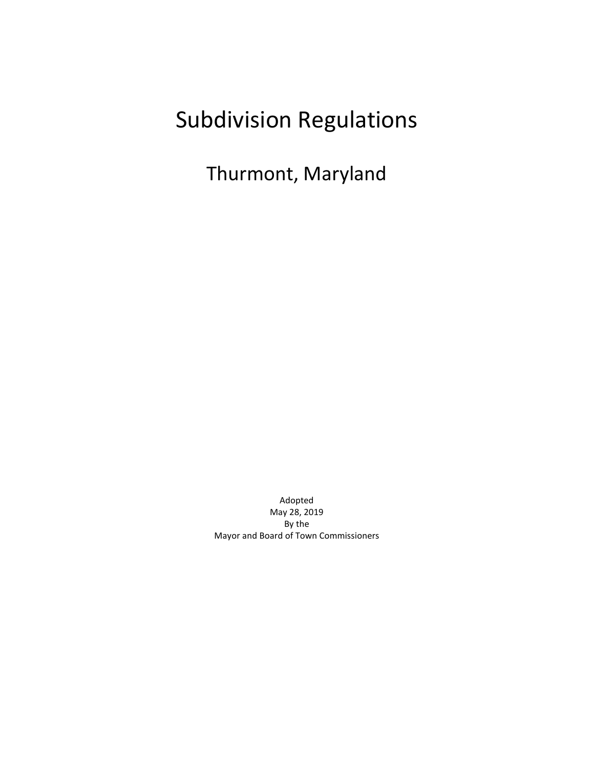# Subdivision Regulations

Thurmont, Maryland

Adopted May 28, 2019 By the Mayor and Board of Town Commissioners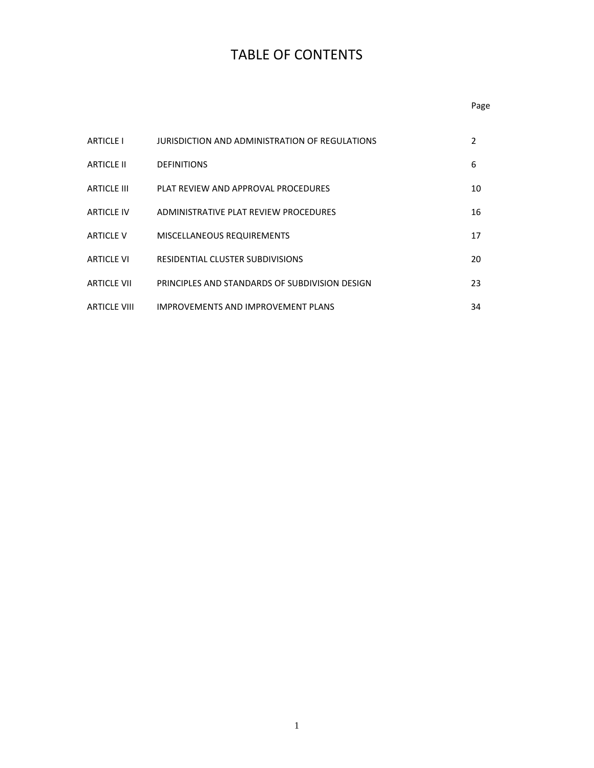# TABLE OF CONTENTS

# Page

| <b>ARTICLE I</b>    | JURISDICTION AND ADMINISTRATION OF REGULATIONS | 2  |
|---------------------|------------------------------------------------|----|
| <b>ARTICLE II</b>   | <b>DEFINITIONS</b>                             | 6  |
| ARTICLE III         | PLAT REVIEW AND APPROVAL PROCEDURES            | 10 |
| <b>ARTICLE IV</b>   | ADMINISTRATIVE PLAT REVIEW PROCEDURES          | 16 |
| <b>ARTICLE V</b>    | MISCELLANEOUS REQUIREMENTS                     | 17 |
| ARTICI F VI         | RESIDENTIAL CLUSTER SUBDIVISIONS               | 20 |
| ARTICLE VII         | PRINCIPLES AND STANDARDS OF SUBDIVISION DESIGN | 23 |
| <b>ARTICLE VIII</b> | <b>IMPROVEMENTS AND IMPROVEMENT PLANS</b>      | 34 |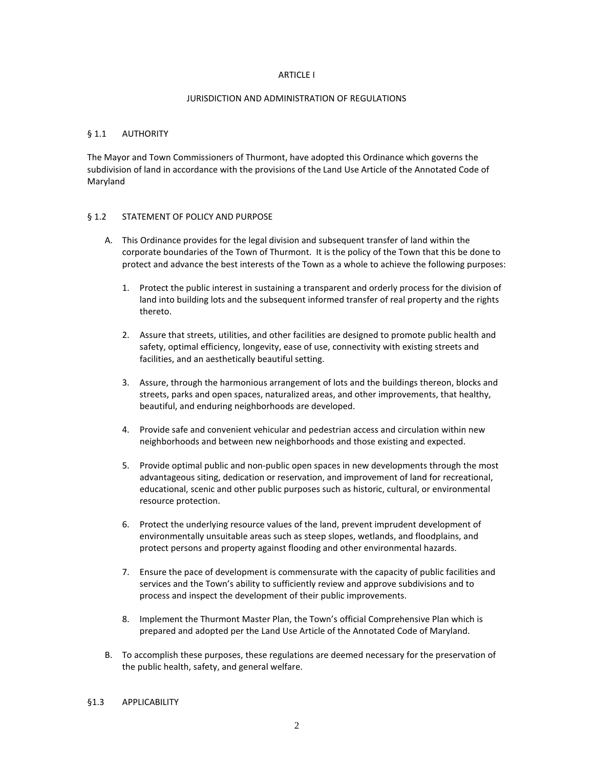#### ARTICLE I

#### JURISDICTION AND ADMINISTRATION OF REGULATIONS

#### § 1.1 AUTHORITY

The Mayor and Town Commissioners of Thurmont, have adopted this Ordinance which governs the subdivision of land in accordance with the provisions of the Land Use Article of the Annotated Code of Maryland

#### § 1.2 STATEMENT OF POLICY AND PURPOSE

- A. This Ordinance provides for the legal division and subsequent transfer of land within the corporate boundaries of the Town of Thurmont. It is the policy of the Town that this be done to protect and advance the best interests of the Town as a whole to achieve the following purposes:
	- 1. Protect the public interest in sustaining a transparent and orderly process for the division of land into building lots and the subsequent informed transfer of real property and the rights thereto.
	- 2. Assure that streets, utilities, and other facilities are designed to promote public health and safety, optimal efficiency, longevity, ease of use, connectivity with existing streets and facilities, and an aesthetically beautiful setting.
	- 3. Assure, through the harmonious arrangement of lots and the buildings thereon, blocks and streets, parks and open spaces, naturalized areas, and other improvements, that healthy, beautiful, and enduring neighborhoods are developed.
	- 4. Provide safe and convenient vehicular and pedestrian access and circulation within new neighborhoods and between new neighborhoods and those existing and expected.
	- 5. Provide optimal public and non-public open spaces in new developments through the most advantageous siting, dedication or reservation, and improvement of land for recreational, educational, scenic and other public purposes such as historic, cultural, or environmental resource protection.
	- 6. Protect the underlying resource values of the land, prevent imprudent development of environmentally unsuitable areas such as steep slopes, wetlands, and floodplains, and protect persons and property against flooding and other environmental hazards.
	- 7. Ensure the pace of development is commensurate with the capacity of public facilities and services and the Town's ability to sufficiently review and approve subdivisions and to process and inspect the development of their public improvements.
	- 8. Implement the Thurmont Master Plan, the Town's official Comprehensive Plan which is prepared and adopted per the Land Use Article of the Annotated Code of Maryland.
- B. To accomplish these purposes, these regulations are deemed necessary for the preservation of the public health, safety, and general welfare.
- §1.3 APPLICABILITY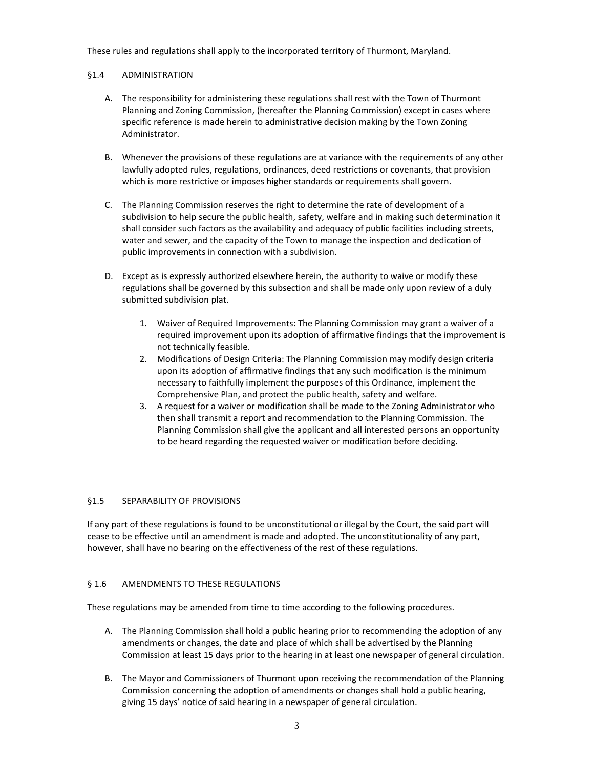These rules and regulations shall apply to the incorporated territory of Thurmont, Maryland.

#### §1.4 ADMINISTRATION

- A. The responsibility for administering these regulations shall rest with the Town of Thurmont Planning and Zoning Commission, (hereafter the Planning Commission) except in cases where specific reference is made herein to administrative decision making by the Town Zoning Administrator.
- B. Whenever the provisions of these regulations are at variance with the requirements of any other lawfully adopted rules, regulations, ordinances, deed restrictions or covenants, that provision which is more restrictive or imposes higher standards or requirements shall govern.
- C. The Planning Commission reserves the right to determine the rate of development of a subdivision to help secure the public health, safety, welfare and in making such determination it shall consider such factors as the availability and adequacy of public facilities including streets, water and sewer, and the capacity of the Town to manage the inspection and dedication of public improvements in connection with a subdivision.
- D. Except as is expressly authorized elsewhere herein, the authority to waive or modify these regulations shall be governed by this subsection and shall be made only upon review of a duly submitted subdivision plat.
	- 1. Waiver of Required Improvements: The Planning Commission may grant a waiver of a required improvement upon its adoption of affirmative findings that the improvement is not technically feasible.
	- 2. Modifications of Design Criteria: The Planning Commission may modify design criteria upon its adoption of affirmative findings that any such modification is the minimum necessary to faithfully implement the purposes of this Ordinance, implement the Comprehensive Plan, and protect the public health, safety and welfare.
	- 3. A request for a waiver or modification shall be made to the Zoning Administrator who then shall transmit a report and recommendation to the Planning Commission. The Planning Commission shall give the applicant and all interested persons an opportunity to be heard regarding the requested waiver or modification before deciding.

# §1.5 SEPARABILITY OF PROVISIONS

If any part of these regulations is found to be unconstitutional or illegal by the Court, the said part will cease to be effective until an amendment is made and adopted. The unconstitutionality of any part, however, shall have no bearing on the effectiveness of the rest of these regulations.

# § 1.6 AMENDMENTS TO THESE REGULATIONS

These regulations may be amended from time to time according to the following procedures.

- A. The Planning Commission shall hold a public hearing prior to recommending the adoption of any amendments or changes, the date and place of which shall be advertised by the Planning Commission at least 15 days prior to the hearing in at least one newspaper of general circulation.
- B. The Mayor and Commissioners of Thurmont upon receiving the recommendation of the Planning Commission concerning the adoption of amendments or changes shall hold a public hearing, giving 15 days' notice of said hearing in a newspaper of general circulation.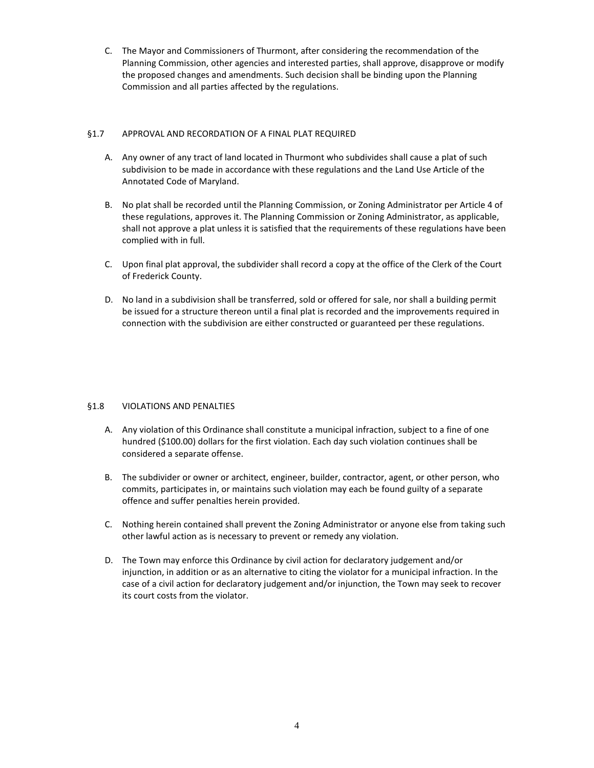C. The Mayor and Commissioners of Thurmont, after considering the recommendation of the Planning Commission, other agencies and interested parties, shall approve, disapprove or modify the proposed changes and amendments. Such decision shall be binding upon the Planning Commission and all parties affected by the regulations.

# §1.7 APPROVAL AND RECORDATION OF A FINAL PLAT REQUIRED

- A. Any owner of any tract of land located in Thurmont who subdivides shall cause a plat of such subdivision to be made in accordance with these regulations and the Land Use Article of the Annotated Code of Maryland.
- B. No plat shall be recorded until the Planning Commission, or Zoning Administrator per Article 4 of these regulations, approves it. The Planning Commission or Zoning Administrator, as applicable, shall not approve a plat unless it is satisfied that the requirements of these regulations have been complied with in full.
- C. Upon final plat approval, the subdivider shall record a copy at the office of the Clerk of the Court of Frederick County.
- D. No land in a subdivision shall be transferred, sold or offered for sale, nor shall a building permit be issued for a structure thereon until a final plat is recorded and the improvements required in connection with the subdivision are either constructed or guaranteed per these regulations.

# §1.8 VIOLATIONS AND PENALTIES

- A. Any violation of this Ordinance shall constitute a municipal infraction, subject to a fine of one hundred (\$100.00) dollars for the first violation. Each day such violation continues shall be considered a separate offense.
- B. The subdivider or owner or architect, engineer, builder, contractor, agent, or other person, who commits, participates in, or maintains such violation may each be found guilty of a separate offence and suffer penalties herein provided.
- C. Nothing herein contained shall prevent the Zoning Administrator or anyone else from taking such other lawful action as is necessary to prevent or remedy any violation.
- D. The Town may enforce this Ordinance by civil action for declaratory judgement and/or injunction, in addition or as an alternative to citing the violator for a municipal infraction. In the case of a civil action for declaratory judgement and/or injunction, the Town may seek to recover its court costs from the violator.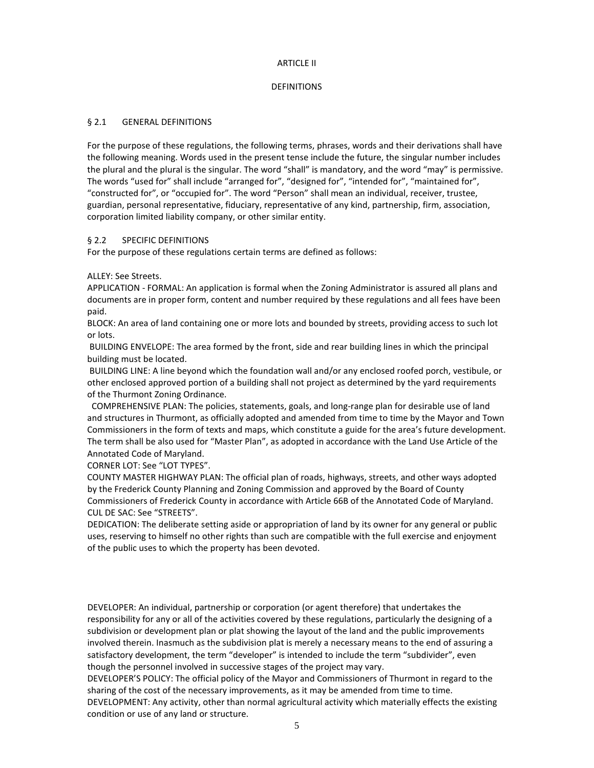#### ARTICLE II

#### DEFINITIONS

#### § 2.1 GENERAL DEFINITIONS

For the purpose of these regulations, the following terms, phrases, words and their derivations shall have the following meaning. Words used in the present tense include the future, the singular number includes the plural and the plural is the singular. The word "shall" is mandatory, and the word "may" is permissive. The words "used for" shall include "arranged for", "designed for", "intended for", "maintained for", "constructed for", or "occupied for". The word "Person" shall mean an individual, receiver, trustee, guardian, personal representative, fiduciary, representative of any kind, partnership, firm, association, corporation limited liability company, or other similar entity.

# § 2.2 SPECIFIC DEFINITIONS

For the purpose of these regulations certain terms are defined as follows:

#### ALLEY: See Streets.

APPLICATION - FORMAL: An application is formal when the Zoning Administrator is assured all plans and documents are in proper form, content and number required by these regulations and all fees have been paid.

BLOCK: An area of land containing one or more lots and bounded by streets, providing access to such lot or lots.

BUILDING ENVELOPE: The area formed by the front, side and rear building lines in which the principal building must be located.

BUILDING LINE: A line beyond which the foundation wall and/or any enclosed roofed porch, vestibule, or other enclosed approved portion of a building shall not project as determined by the yard requirements of the Thurmont Zoning Ordinance.

COMPREHENSIVE PLAN: The policies, statements, goals, and long-range plan for desirable use of land and structures in Thurmont, as officially adopted and amended from time to time by the Mayor and Town Commissioners in the form of texts and maps, which constitute a guide for the area's future development. The term shall be also used for "Master Plan", as adopted in accordance with the Land Use Article of the Annotated Code of Maryland.

CORNER LOT: See "LOT TYPES".

COUNTY MASTER HIGHWAY PLAN: The official plan of roads, highways, streets, and other ways adopted by the Frederick County Planning and Zoning Commission and approved by the Board of County Commissioners of Frederick County in accordance with Article 66B of the Annotated Code of Maryland. CUL DE SAC: See "STREETS".

DEDICATION: The deliberate setting aside or appropriation of land by its owner for any general or public uses, reserving to himself no other rights than such are compatible with the full exercise and enjoyment of the public uses to which the property has been devoted.

DEVELOPER: An individual, partnership or corporation (or agent therefore) that undertakes the responsibility for any or all of the activities covered by these regulations, particularly the designing of a subdivision or development plan or plat showing the layout of the land and the public improvements involved therein. Inasmuch as the subdivision plat is merely a necessary means to the end of assuring a satisfactory development, the term "developer" is intended to include the term "subdivider", even though the personnel involved in successive stages of the project may vary.

DEVELOPER'S POLICY: The official policy of the Mayor and Commissioners of Thurmont in regard to the sharing of the cost of the necessary improvements, as it may be amended from time to time. DEVELOPMENT: Any activity, other than normal agricultural activity which materially effects the existing condition or use of any land or structure.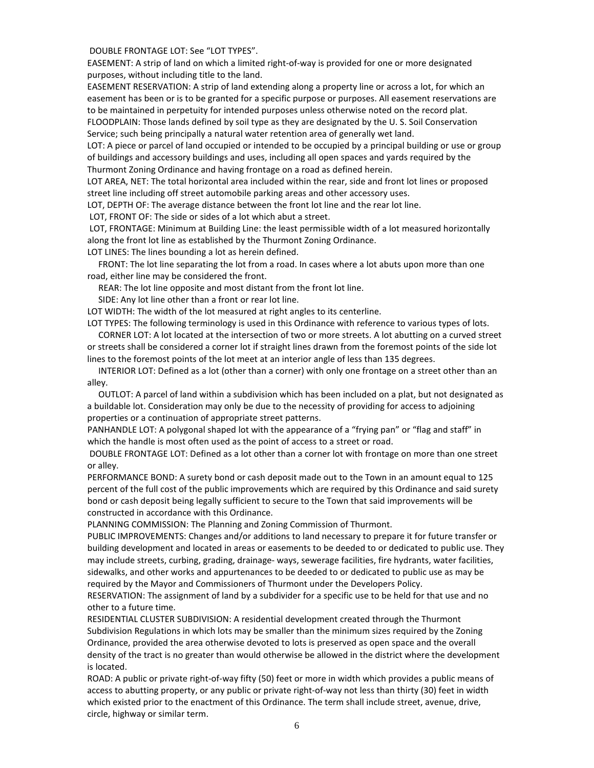DOUBLE FRONTAGE LOT: See "LOT TYPES".

EASEMENT: A strip of land on which a limited right-of-way is provided for one or more designated purposes, without including title to the land.

EASEMENT RESERVATION: A strip of land extending along a property line or across a lot, for which an easement has been or is to be granted for a specific purpose or purposes. All easement reservations are to be maintained in perpetuity for intended purposes unless otherwise noted on the record plat. FLOODPLAIN: Those lands defined by soil type as they are designated by the U. S. Soil Conservation Service; such being principally a natural water retention area of generally wet land.

LOT: A piece or parcel of land occupied or intended to be occupied by a principal building or use or group of buildings and accessory buildings and uses, including all open spaces and yards required by the Thurmont Zoning Ordinance and having frontage on a road as defined herein.

LOT AREA, NET: The total horizontal area included within the rear, side and front lot lines or proposed street line including off street automobile parking areas and other accessory uses.

LOT, DEPTH OF: The average distance between the front lot line and the rear lot line.

LOT, FRONT OF: The side or sides of a lot which abut a street.

LOT, FRONTAGE: Minimum at Building Line: the least permissible width of a lot measured horizontally along the front lot line as established by the Thurmont Zoning Ordinance.

LOT LINES: The lines bounding a lot as herein defined.

 FRONT: The lot line separating the lot from a road. In cases where a lot abuts upon more than one road, either line may be considered the front.

REAR: The lot line opposite and most distant from the front lot line.

SIDE: Any lot line other than a front or rear lot line.

LOT WIDTH: The width of the lot measured at right angles to its centerline.

LOT TYPES: The following terminology is used in this Ordinance with reference to various types of lots. CORNER LOT: A lot located at the intersection of two or more streets. A lot abutting on a curved street or streets shall be considered a corner lot if straight lines drawn from the foremost points of the side lot lines to the foremost points of the lot meet at an interior angle of less than 135 degrees.

 INTERIOR LOT: Defined as a lot (other than a corner) with only one frontage on a street other than an alley.

 OUTLOT: A parcel of land within a subdivision which has been included on a plat, but not designated as a buildable lot. Consideration may only be due to the necessity of providing for access to adjoining properties or a continuation of appropriate street patterns.

PANHANDLE LOT: A polygonal shaped lot with the appearance of a "frying pan" or "flag and staff" in which the handle is most often used as the point of access to a street or road.

DOUBLE FRONTAGE LOT: Defined as a lot other than a corner lot with frontage on more than one street or alley.

PERFORMANCE BOND: A surety bond or cash deposit made out to the Town in an amount equal to 125 percent of the full cost of the public improvements which are required by this Ordinance and said surety bond or cash deposit being legally sufficient to secure to the Town that said improvements will be constructed in accordance with this Ordinance.

PLANNING COMMISSION: The Planning and Zoning Commission of Thurmont.

PUBLIC IMPROVEMENTS: Changes and/or additions to land necessary to prepare it for future transfer or building development and located in areas or easements to be deeded to or dedicated to public use. They may include streets, curbing, grading, drainage- ways, sewerage facilities, fire hydrants, water facilities, sidewalks, and other works and appurtenances to be deeded to or dedicated to public use as may be required by the Mayor and Commissioners of Thurmont under the Developers Policy.

RESERVATION: The assignment of land by a subdivider for a specific use to be held for that use and no other to a future time.

RESIDENTIAL CLUSTER SUBDIVISION: A residential development created through the Thurmont Subdivision Regulations in which lots may be smaller than the minimum sizes required by the Zoning Ordinance, provided the area otherwise devoted to lots is preserved as open space and the overall density of the tract is no greater than would otherwise be allowed in the district where the development is located.

ROAD: A public or private right-of-way fifty (50) feet or more in width which provides a public means of access to abutting property, or any public or private right-of-way not less than thirty (30) feet in width which existed prior to the enactment of this Ordinance. The term shall include street, avenue, drive, circle, highway or similar term.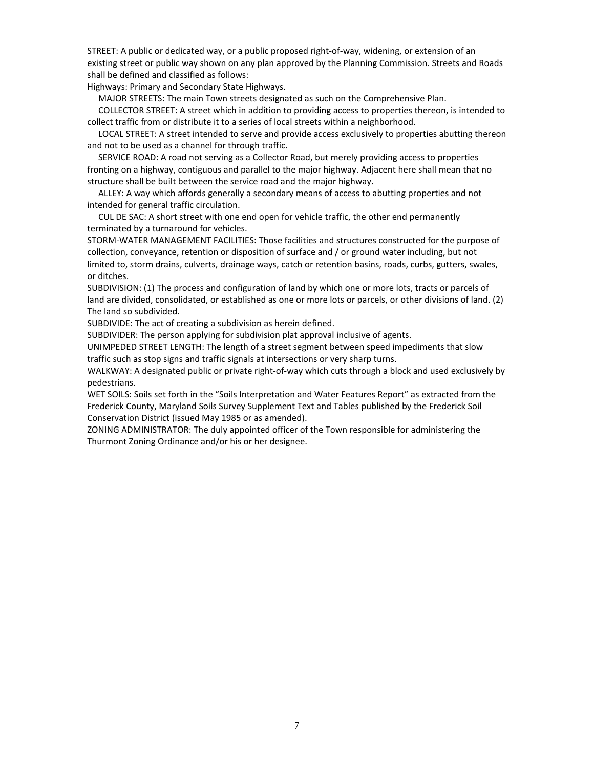STREET: A public or dedicated way, or a public proposed right-of-way, widening, or extension of an existing street or public way shown on any plan approved by the Planning Commission. Streets and Roads shall be defined and classified as follows:

Highways: Primary and Secondary State Highways.

MAJOR STREETS: The main Town streets designated as such on the Comprehensive Plan.

 COLLECTOR STREET: A street which in addition to providing access to properties thereon, is intended to collect traffic from or distribute it to a series of local streets within a neighborhood.

 LOCAL STREET: A street intended to serve and provide access exclusively to properties abutting thereon and not to be used as a channel for through traffic.

 SERVICE ROAD: A road not serving as a Collector Road, but merely providing access to properties fronting on a highway, contiguous and parallel to the major highway. Adjacent here shall mean that no structure shall be built between the service road and the major highway.

 ALLEY: A way which affords generally a secondary means of access to abutting properties and not intended for general traffic circulation.

 CUL DE SAC: A short street with one end open for vehicle traffic, the other end permanently terminated by a turnaround for vehicles.

STORM-WATER MANAGEMENT FACILITIES: Those facilities and structures constructed for the purpose of collection, conveyance, retention or disposition of surface and / or ground water including, but not limited to, storm drains, culverts, drainage ways, catch or retention basins, roads, curbs, gutters, swales, or ditches.

SUBDIVISION: (1) The process and configuration of land by which one or more lots, tracts or parcels of land are divided, consolidated, or established as one or more lots or parcels, or other divisions of land. (2) The land so subdivided.

SUBDIVIDE: The act of creating a subdivision as herein defined.

SUBDIVIDER: The person applying for subdivision plat approval inclusive of agents.

UNIMPEDED STREET LENGTH: The length of a street segment between speed impediments that slow traffic such as stop signs and traffic signals at intersections or very sharp turns.

WALKWAY: A designated public or private right-of-way which cuts through a block and used exclusively by pedestrians.

WET SOILS: Soils set forth in the "Soils Interpretation and Water Features Report" as extracted from the Frederick County, Maryland Soils Survey Supplement Text and Tables published by the Frederick Soil Conservation District (issued May 1985 or as amended).

ZONING ADMINISTRATOR: The duly appointed officer of the Town responsible for administering the Thurmont Zoning Ordinance and/or his or her designee.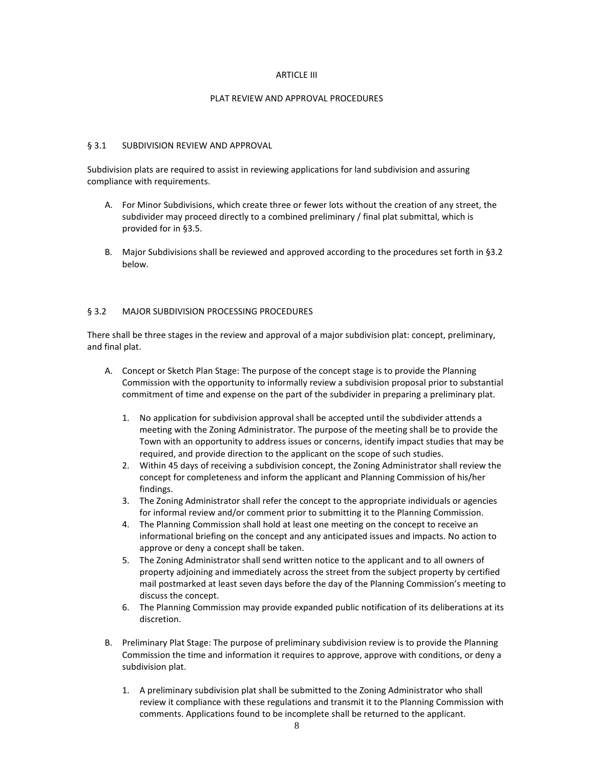#### ARTICLE III

#### PLAT REVIEW AND APPROVAL PROCEDURES

#### § 3.1 SUBDIVISION REVIEW AND APPROVAL

Subdivision plats are required to assist in reviewing applications for land subdivision and assuring compliance with requirements.

- A. For Minor Subdivisions, which create three or fewer lots without the creation of any street, the subdivider may proceed directly to a combined preliminary / final plat submittal, which is provided for in §3.5.
- B. Major Subdivisions shall be reviewed and approved according to the procedures set forth in §3.2 below.

# § 3.2 MAJOR SUBDIVISION PROCESSING PROCEDURES

There shall be three stages in the review and approval of a major subdivision plat: concept, preliminary, and final plat.

- A. Concept or Sketch Plan Stage: The purpose of the concept stage is to provide the Planning Commission with the opportunity to informally review a subdivision proposal prior to substantial commitment of time and expense on the part of the subdivider in preparing a preliminary plat.
	- 1. No application for subdivision approval shall be accepted until the subdivider attends a meeting with the Zoning Administrator. The purpose of the meeting shall be to provide the Town with an opportunity to address issues or concerns, identify impact studies that may be required, and provide direction to the applicant on the scope of such studies.
	- 2. Within 45 days of receiving a subdivision concept, the Zoning Administrator shall review the concept for completeness and inform the applicant and Planning Commission of his/her findings.
	- 3. The Zoning Administrator shall refer the concept to the appropriate individuals or agencies for informal review and/or comment prior to submitting it to the Planning Commission.
	- 4. The Planning Commission shall hold at least one meeting on the concept to receive an informational briefing on the concept and any anticipated issues and impacts. No action to approve or deny a concept shall be taken.
	- 5. The Zoning Administrator shall send written notice to the applicant and to all owners of property adjoining and immediately across the street from the subject property by certified mail postmarked at least seven days before the day of the Planning Commission's meeting to discuss the concept.
	- 6. The Planning Commission may provide expanded public notification of its deliberations at its discretion.
- B. Preliminary Plat Stage: The purpose of preliminary subdivision review is to provide the Planning Commission the time and information it requires to approve, approve with conditions, or deny a subdivision plat.
	- 1. A preliminary subdivision plat shall be submitted to the Zoning Administrator who shall review it compliance with these regulations and transmit it to the Planning Commission with comments. Applications found to be incomplete shall be returned to the applicant.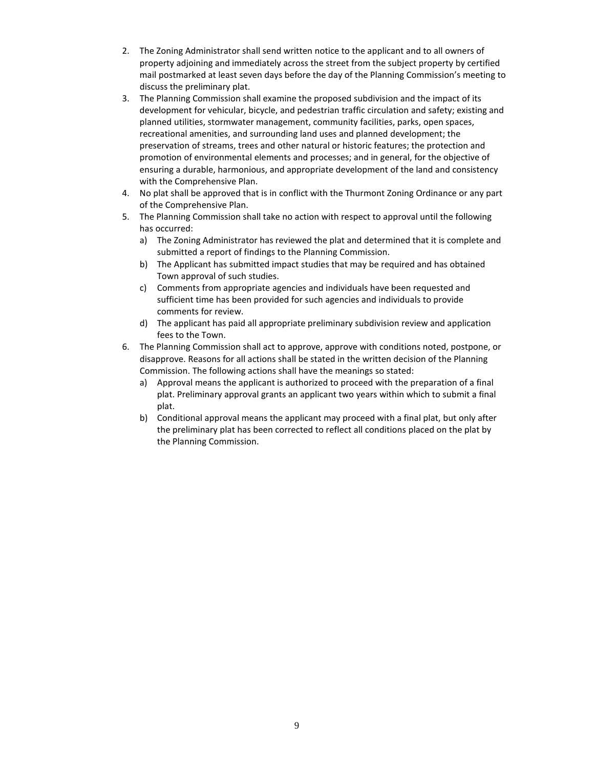- 2. The Zoning Administrator shall send written notice to the applicant and to all owners of property adjoining and immediately across the street from the subject property by certified mail postmarked at least seven days before the day of the Planning Commission's meeting to discuss the preliminary plat.
- 3. The Planning Commission shall examine the proposed subdivision and the impact of its development for vehicular, bicycle, and pedestrian traffic circulation and safety; existing and planned utilities, stormwater management, community facilities, parks, open spaces, recreational amenities, and surrounding land uses and planned development; the preservation of streams, trees and other natural or historic features; the protection and promotion of environmental elements and processes; and in general, for the objective of ensuring a durable, harmonious, and appropriate development of the land and consistency with the Comprehensive Plan.
- 4. No plat shall be approved that is in conflict with the Thurmont Zoning Ordinance or any part of the Comprehensive Plan.
- 5. The Planning Commission shall take no action with respect to approval until the following has occurred:
	- a) The Zoning Administrator has reviewed the plat and determined that it is complete and submitted a report of findings to the Planning Commission.
	- b) The Applicant has submitted impact studies that may be required and has obtained Town approval of such studies.
	- c) Comments from appropriate agencies and individuals have been requested and sufficient time has been provided for such agencies and individuals to provide comments for review.
	- d) The applicant has paid all appropriate preliminary subdivision review and application fees to the Town.
- 6. The Planning Commission shall act to approve, approve with conditions noted, postpone, or disapprove. Reasons for all actions shall be stated in the written decision of the Planning Commission. The following actions shall have the meanings so stated:
	- a) Approval means the applicant is authorized to proceed with the preparation of a final plat. Preliminary approval grants an applicant two years within which to submit a final plat.
	- b) Conditional approval means the applicant may proceed with a final plat, but only after the preliminary plat has been corrected to reflect all conditions placed on the plat by the Planning Commission.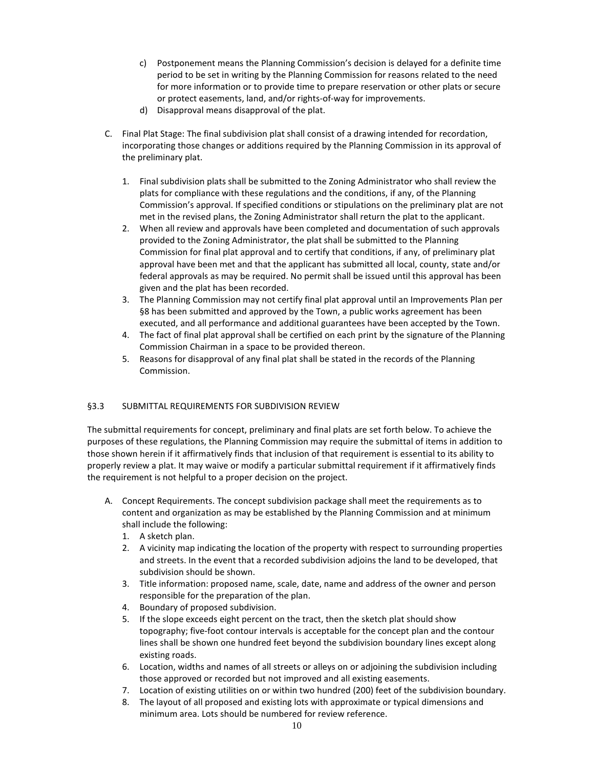- c) Postponement means the Planning Commission's decision is delayed for a definite time period to be set in writing by the Planning Commission for reasons related to the need for more information or to provide time to prepare reservation or other plats or secure or protect easements, land, and/or rights-of-way for improvements.
- d) Disapproval means disapproval of the plat.
- C. Final Plat Stage: The final subdivision plat shall consist of a drawing intended for recordation, incorporating those changes or additions required by the Planning Commission in its approval of the preliminary plat.
	- 1. Final subdivision plats shall be submitted to the Zoning Administrator who shall review the plats for compliance with these regulations and the conditions, if any, of the Planning Commission's approval. If specified conditions or stipulations on the preliminary plat are not met in the revised plans, the Zoning Administrator shall return the plat to the applicant.
	- 2. When all review and approvals have been completed and documentation of such approvals provided to the Zoning Administrator, the plat shall be submitted to the Planning Commission for final plat approval and to certify that conditions, if any, of preliminary plat approval have been met and that the applicant has submitted all local, county, state and/or federal approvals as may be required. No permit shall be issued until this approval has been given and the plat has been recorded.
	- 3. The Planning Commission may not certify final plat approval until an Improvements Plan per §8 has been submitted and approved by the Town, a public works agreement has been executed, and all performance and additional guarantees have been accepted by the Town.
	- 4. The fact of final plat approval shall be certified on each print by the signature of the Planning Commission Chairman in a space to be provided thereon.
	- 5. Reasons for disapproval of any final plat shall be stated in the records of the Planning Commission.

# §3.3 SUBMITTAL REQUIREMENTS FOR SUBDIVISION REVIEW

The submittal requirements for concept, preliminary and final plats are set forth below. To achieve the purposes of these regulations, the Planning Commission may require the submittal of items in addition to those shown herein if it affirmatively finds that inclusion of that requirement is essential to its ability to properly review a plat. It may waive or modify a particular submittal requirement if it affirmatively finds the requirement is not helpful to a proper decision on the project.

- A. Concept Requirements. The concept subdivision package shall meet the requirements as to content and organization as may be established by the Planning Commission and at minimum shall include the following:
	- 1. A sketch plan.
	- 2. A vicinity map indicating the location of the property with respect to surrounding properties and streets. In the event that a recorded subdivision adjoins the land to be developed, that subdivision should be shown.
	- 3. Title information: proposed name, scale, date, name and address of the owner and person responsible for the preparation of the plan.
	- 4. Boundary of proposed subdivision.
	- 5. If the slope exceeds eight percent on the tract, then the sketch plat should show topography; five-foot contour intervals is acceptable for the concept plan and the contour lines shall be shown one hundred feet beyond the subdivision boundary lines except along existing roads.
	- 6. Location, widths and names of all streets or alleys on or adjoining the subdivision including those approved or recorded but not improved and all existing easements.
	- 7. Location of existing utilities on or within two hundred (200) feet of the subdivision boundary.
	- 8. The layout of all proposed and existing lots with approximate or typical dimensions and minimum area. Lots should be numbered for review reference.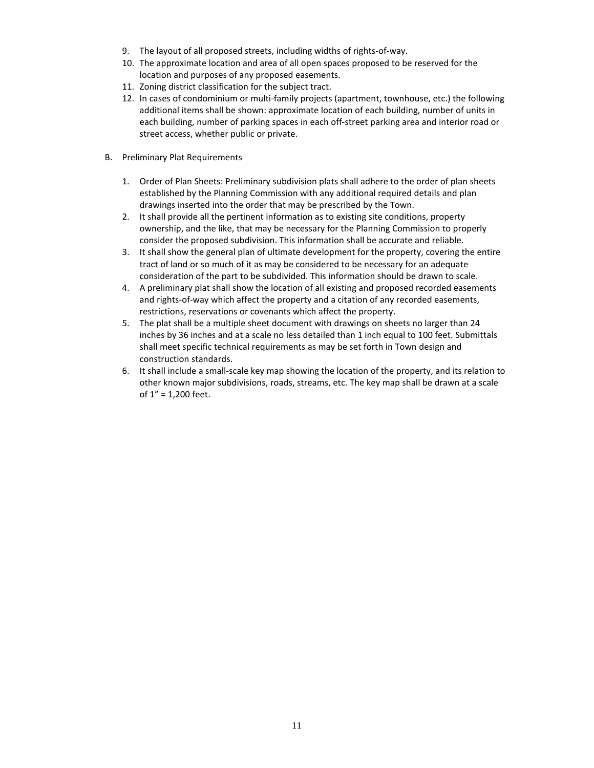- 9. The layout of all proposed streets, including widths of rights-of-way.
- 10. The approximate location and area of all open spaces proposed to be reserved for the location and purposes of any proposed easements.
- 11. Zoning district classification for the subject tract.
- 12. In cases of condominium or multi-family projects (apartment, townhouse, etc.) the following additional items shall be shown: approximate location of each building, number of units in each building, number of parking spaces in each off-street parking area and interior road or street access, whether public or private.
- B. Preliminary Plat Requirements
	- 1. Order of Plan Sheets: Preliminary subdivision plats shall adhere to the order of plan sheets established by the Planning Commission with any additional required details and plan drawings inserted into the order that may be prescribed by the Town.
	- 2. It shall provide all the pertinent information as to existing site conditions, property ownership, and the like, that may be necessary for the Planning Commission to properly consider the proposed subdivision. This information shall be accurate and reliable.
	- 3. It shall show the general plan of ultimate development for the property, covering the entire tract of land or so much of it as may be considered to be necessary for an adequate consideration of the part to be subdivided. This information should be drawn to scale.
	- 4. A preliminary plat shall show the location of all existing and proposed recorded easements and rights-of-way which affect the property and a citation of any recorded easements, restrictions, reservations or covenants which affect the property.
	- 5. The plat shall be a multiple sheet document with drawings on sheets no larger than 24 inches by 36 inches and at a scale no less detailed than 1 inch equal to 100 feet. Submittals shall meet specific technical requirements as may be set forth in Town design and construction standards.
	- 6. It shall include a small-scale key map showing the location of the property, and its relation to other known major subdivisions, roads, streams, etc. The key map shall be drawn at a scale of 1" = 1,200 feet.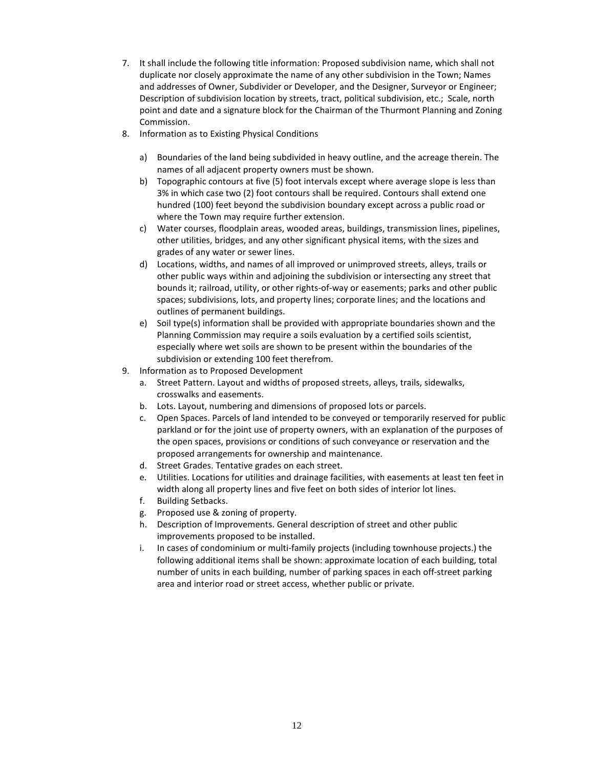- 7. It shall include the following title information: Proposed subdivision name, which shall not duplicate nor closely approximate the name of any other subdivision in the Town; Names and addresses of Owner, Subdivider or Developer, and the Designer, Surveyor or Engineer; Description of subdivision location by streets, tract, political subdivision, etc.; Scale, north point and date and a signature block for the Chairman of the Thurmont Planning and Zoning Commission.
- 8. Information as to Existing Physical Conditions
	- a) Boundaries of the land being subdivided in heavy outline, and the acreage therein. The names of all adjacent property owners must be shown.
	- b) Topographic contours at five (5) foot intervals except where average slope is less than 3% in which case two (2) foot contours shall be required. Contours shall extend one hundred (100) feet beyond the subdivision boundary except across a public road or where the Town may require further extension.
	- c) Water courses, floodplain areas, wooded areas, buildings, transmission lines, pipelines, other utilities, bridges, and any other significant physical items, with the sizes and grades of any water or sewer lines.
	- d) Locations, widths, and names of all improved or unimproved streets, alleys, trails or other public ways within and adjoining the subdivision or intersecting any street that bounds it; railroad, utility, or other rights-of-way or easements; parks and other public spaces; subdivisions, lots, and property lines; corporate lines; and the locations and outlines of permanent buildings.
	- e) Soil type(s) information shall be provided with appropriate boundaries shown and the Planning Commission may require a soils evaluation by a certified soils scientist, especially where wet soils are shown to be present within the boundaries of the subdivision or extending 100 feet therefrom.
- 9. Information as to Proposed Development
	- a. Street Pattern. Layout and widths of proposed streets, alleys, trails, sidewalks, crosswalks and easements.
	- b. Lots. Layout, numbering and dimensions of proposed lots or parcels.
	- c. Open Spaces. Parcels of land intended to be conveyed or temporarily reserved for public parkland or for the joint use of property owners, with an explanation of the purposes of the open spaces, provisions or conditions of such conveyance or reservation and the proposed arrangements for ownership and maintenance.
	- d. Street Grades. Tentative grades on each street.
	- e. Utilities. Locations for utilities and drainage facilities, with easements at least ten feet in width along all property lines and five feet on both sides of interior lot lines.
	- f. Building Setbacks.
	- g. Proposed use & zoning of property.
	- h. Description of Improvements. General description of street and other public improvements proposed to be installed.
	- i. In cases of condominium or multi-family projects (including townhouse projects.) the following additional items shall be shown: approximate location of each building, total number of units in each building, number of parking spaces in each off-street parking area and interior road or street access, whether public or private.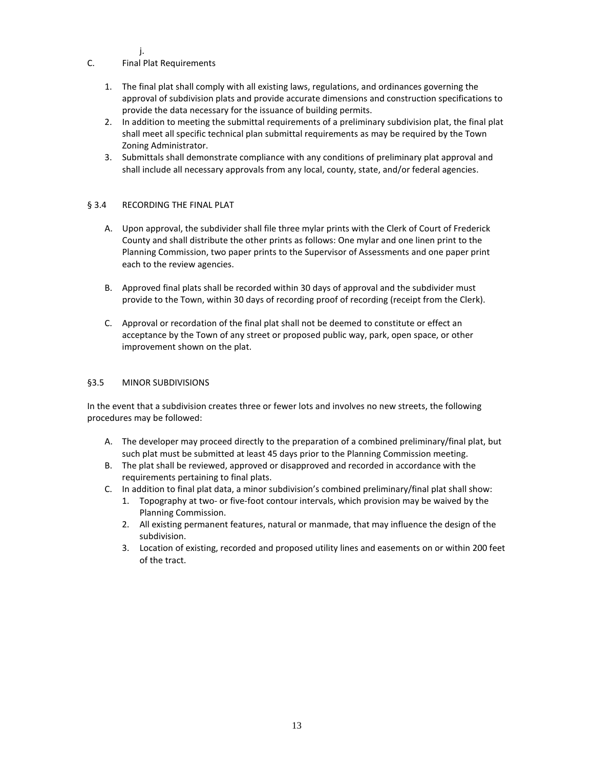j.

# C. Final Plat Requirements

- 1. The final plat shall comply with all existing laws, regulations, and ordinances governing the approval of subdivision plats and provide accurate dimensions and construction specifications to provide the data necessary for the issuance of building permits.
- 2. In addition to meeting the submittal requirements of a preliminary subdivision plat, the final plat shall meet all specific technical plan submittal requirements as may be required by the Town Zoning Administrator.
- 3. Submittals shall demonstrate compliance with any conditions of preliminary plat approval and shall include all necessary approvals from any local, county, state, and/or federal agencies.

# § 3.4 RECORDING THE FINAL PLAT

- A. Upon approval, the subdivider shall file three mylar prints with the Clerk of Court of Frederick County and shall distribute the other prints as follows: One mylar and one linen print to the Planning Commission, two paper prints to the Supervisor of Assessments and one paper print each to the review agencies.
- B. Approved final plats shall be recorded within 30 days of approval and the subdivider must provide to the Town, within 30 days of recording proof of recording (receipt from the Clerk).
- C. Approval or recordation of the final plat shall not be deemed to constitute or effect an acceptance by the Town of any street or proposed public way, park, open space, or other improvement shown on the plat.

#### §3.5 MINOR SUBDIVISIONS

In the event that a subdivision creates three or fewer lots and involves no new streets, the following procedures may be followed:

- A. The developer may proceed directly to the preparation of a combined preliminary/final plat, but such plat must be submitted at least 45 days prior to the Planning Commission meeting.
- B. The plat shall be reviewed, approved or disapproved and recorded in accordance with the requirements pertaining to final plats.
- C. In addition to final plat data, a minor subdivision's combined preliminary/final plat shall show:
	- 1. Topography at two- or five-foot contour intervals, which provision may be waived by the Planning Commission.
	- 2. All existing permanent features, natural or manmade, that may influence the design of the subdivision.
	- 3. Location of existing, recorded and proposed utility lines and easements on or within 200 feet of the tract.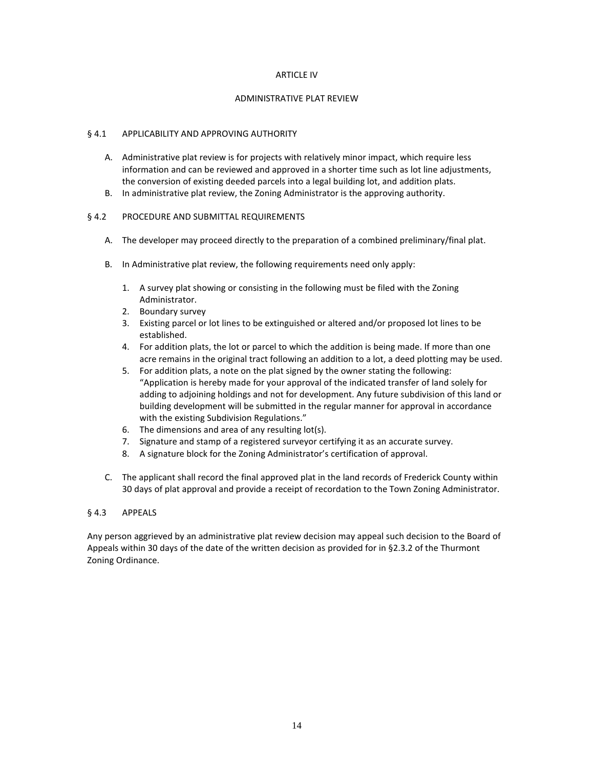#### ARTICLE IV

#### ADMINISTRATIVE PLAT REVIEW

#### § 4.1 APPLICABILITY AND APPROVING AUTHORITY

- A. Administrative plat review is for projects with relatively minor impact, which require less information and can be reviewed and approved in a shorter time such as lot line adjustments, the conversion of existing deeded parcels into a legal building lot, and addition plats.
- B. In administrative plat review, the Zoning Administrator is the approving authority.

# § 4.2 PROCEDURE AND SUBMITTAL REQUIREMENTS

- A. The developer may proceed directly to the preparation of a combined preliminary/final plat.
- B. In Administrative plat review, the following requirements need only apply:
	- 1. A survey plat showing or consisting in the following must be filed with the Zoning Administrator.
	- 2. Boundary survey
	- 3. Existing parcel or lot lines to be extinguished or altered and/or proposed lot lines to be established.
	- 4. For addition plats, the lot or parcel to which the addition is being made. If more than one acre remains in the original tract following an addition to a lot, a deed plotting may be used.
	- 5. For addition plats, a note on the plat signed by the owner stating the following: "Application is hereby made for your approval of the indicated transfer of land solely for adding to adjoining holdings and not for development. Any future subdivision of this land or building development will be submitted in the regular manner for approval in accordance with the existing Subdivision Regulations."
	- 6. The dimensions and area of any resulting lot(s).
	- 7. Signature and stamp of a registered surveyor certifying it as an accurate survey.
	- 8. A signature block for the Zoning Administrator's certification of approval.
- C. The applicant shall record the final approved plat in the land records of Frederick County within 30 days of plat approval and provide a receipt of recordation to the Town Zoning Administrator.

# § 4.3 APPEALS

Any person aggrieved by an administrative plat review decision may appeal such decision to the Board of Appeals within 30 days of the date of the written decision as provided for in §2.3.2 of the Thurmont Zoning Ordinance.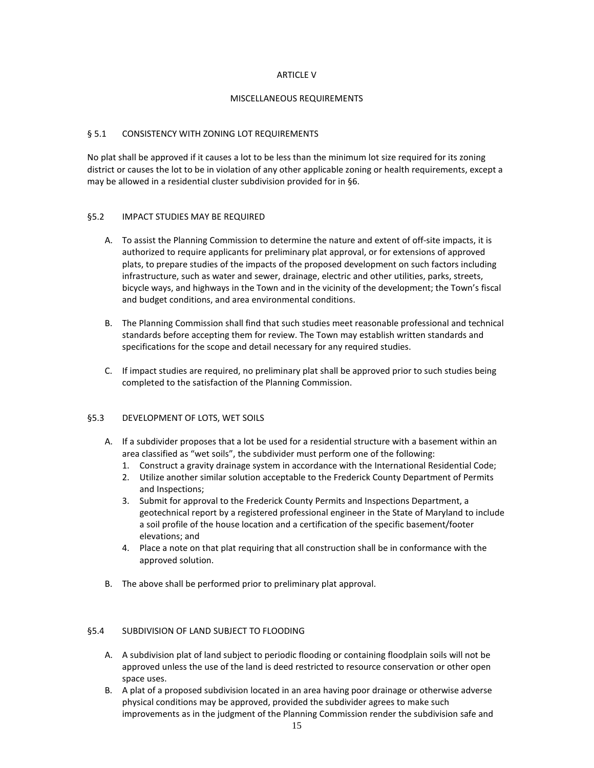#### ARTICLE V

#### MISCELLANEOUS REQUIREMENTS

# § 5.1 CONSISTENCY WITH ZONING LOT REQUIREMENTS

No plat shall be approved if it causes a lot to be less than the minimum lot size required for its zoning district or causes the lot to be in violation of any other applicable zoning or health requirements, except a may be allowed in a residential cluster subdivision provided for in §6.

# §5.2 IMPACT STUDIES MAY BE REQUIRED

- A. To assist the Planning Commission to determine the nature and extent of off-site impacts, it is authorized to require applicants for preliminary plat approval, or for extensions of approved plats, to prepare studies of the impacts of the proposed development on such factors including infrastructure, such as water and sewer, drainage, electric and other utilities, parks, streets, bicycle ways, and highways in the Town and in the vicinity of the development; the Town's fiscal and budget conditions, and area environmental conditions.
- B. The Planning Commission shall find that such studies meet reasonable professional and technical standards before accepting them for review. The Town may establish written standards and specifications for the scope and detail necessary for any required studies.
- C. If impact studies are required, no preliminary plat shall be approved prior to such studies being completed to the satisfaction of the Planning Commission.

# §5.3 DEVELOPMENT OF LOTS, WET SOILS

- A. If a subdivider proposes that a lot be used for a residential structure with a basement within an area classified as "wet soils", the subdivider must perform one of the following:
	- 1. Construct a gravity drainage system in accordance with the International Residential Code;
	- 2. Utilize another similar solution acceptable to the Frederick County Department of Permits and Inspections;
	- 3. Submit for approval to the Frederick County Permits and Inspections Department, a geotechnical report by a registered professional engineer in the State of Maryland to include a soil profile of the house location and a certification of the specific basement/footer elevations; and
	- 4. Place a note on that plat requiring that all construction shall be in conformance with the approved solution.
- B. The above shall be performed prior to preliminary plat approval.

# §5.4 SUBDIVISION OF LAND SUBJECT TO FLOODING

- A. A subdivision plat of land subject to periodic flooding or containing floodplain soils will not be approved unless the use of the land is deed restricted to resource conservation or other open space uses.
- B. A plat of a proposed subdivision located in an area having poor drainage or otherwise adverse physical conditions may be approved, provided the subdivider agrees to make such improvements as in the judgment of the Planning Commission render the subdivision safe and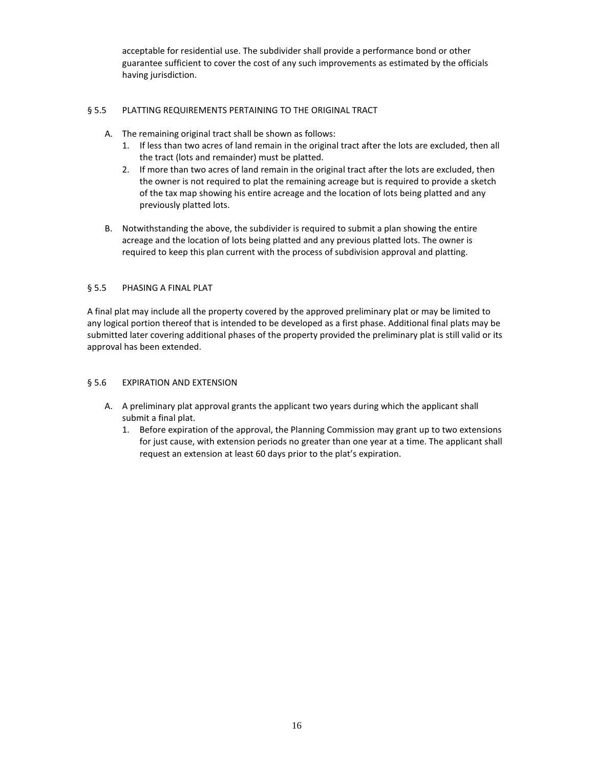acceptable for residential use. The subdivider shall provide a performance bond or other guarantee sufficient to cover the cost of any such improvements as estimated by the officials having jurisdiction.

# § 5.5 PLATTING REQUIREMENTS PERTAINING TO THE ORIGINAL TRACT

- A. The remaining original tract shall be shown as follows:
	- 1. If less than two acres of land remain in the original tract after the lots are excluded, then all the tract (lots and remainder) must be platted.
	- 2. If more than two acres of land remain in the original tract after the lots are excluded, then the owner is not required to plat the remaining acreage but is required to provide a sketch of the tax map showing his entire acreage and the location of lots being platted and any previously platted lots.
- B. Notwithstanding the above, the subdivider is required to submit a plan showing the entire acreage and the location of lots being platted and any previous platted lots. The owner is required to keep this plan current with the process of subdivision approval and platting.

# § 5.5 PHASING A FINAL PLAT

A final plat may include all the property covered by the approved preliminary plat or may be limited to any logical portion thereof that is intended to be developed as a first phase. Additional final plats may be submitted later covering additional phases of the property provided the preliminary plat is still valid or its approval has been extended.

# § 5.6 EXPIRATION AND EXTENSION

- A. A preliminary plat approval grants the applicant two years during which the applicant shall submit a final plat.
	- 1. Before expiration of the approval, the Planning Commission may grant up to two extensions for just cause, with extension periods no greater than one year at a time. The applicant shall request an extension at least 60 days prior to the plat's expiration.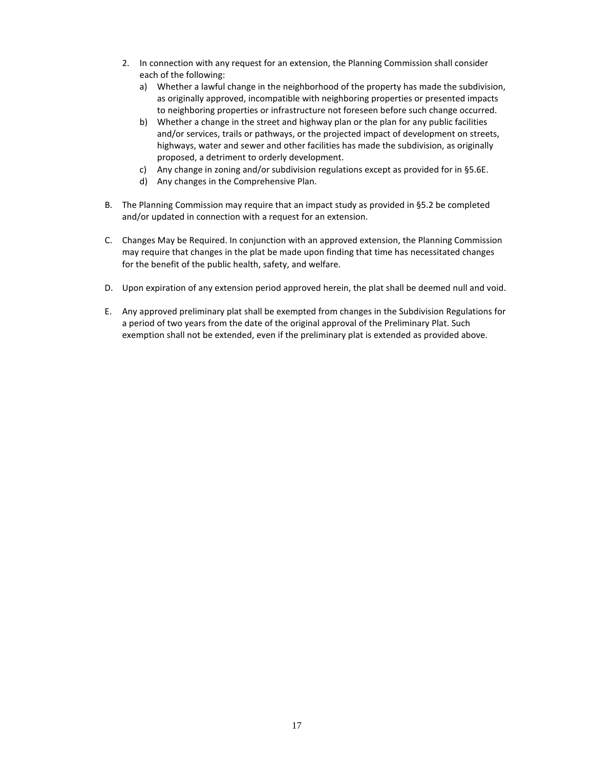- 2. In connection with any request for an extension, the Planning Commission shall consider each of the following:
	- a) Whether a lawful change in the neighborhood of the property has made the subdivision, as originally approved, incompatible with neighboring properties or presented impacts to neighboring properties or infrastructure not foreseen before such change occurred.
	- b) Whether a change in the street and highway plan or the plan for any public facilities and/or services, trails or pathways, or the projected impact of development on streets, highways, water and sewer and other facilities has made the subdivision, as originally proposed, a detriment to orderly development.
	- c) Any change in zoning and/or subdivision regulations except as provided for in §5.6E.
	- d) Any changes in the Comprehensive Plan.
- B. The Planning Commission may require that an impact study as provided in §5.2 be completed and/or updated in connection with a request for an extension.
- C. Changes May be Required. In conjunction with an approved extension, the Planning Commission may require that changes in the plat be made upon finding that time has necessitated changes for the benefit of the public health, safety, and welfare.
- D. Upon expiration of any extension period approved herein, the plat shall be deemed null and void.
- E. Any approved preliminary plat shall be exempted from changes in the Subdivision Regulations for a period of two years from the date of the original approval of the Preliminary Plat. Such exemption shall not be extended, even if the preliminary plat is extended as provided above.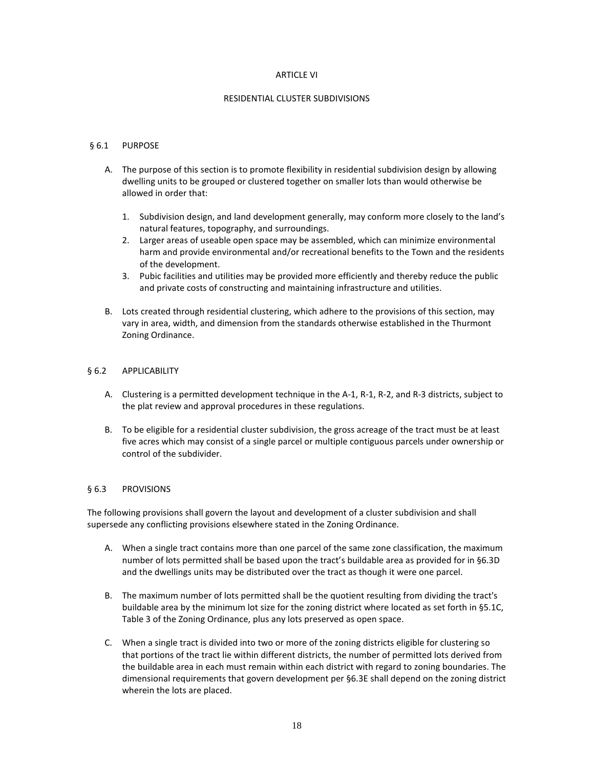#### ARTICLE VI

#### RESIDENTIAL CLUSTER SUBDIVISIONS

# § 6.1 PURPOSE

- A. The purpose of this section is to promote flexibility in residential subdivision design by allowing dwelling units to be grouped or clustered together on smaller lots than would otherwise be allowed in order that:
	- 1. Subdivision design, and land development generally, may conform more closely to the land's natural features, topography, and surroundings.
	- 2. Larger areas of useable open space may be assembled, which can minimize environmental harm and provide environmental and/or recreational benefits to the Town and the residents of the development.
	- 3. Pubic facilities and utilities may be provided more efficiently and thereby reduce the public and private costs of constructing and maintaining infrastructure and utilities.
- B. Lots created through residential clustering, which adhere to the provisions of this section, may vary in area, width, and dimension from the standards otherwise established in the Thurmont Zoning Ordinance.

#### § 6.2 APPLICABILITY

- A. Clustering is a permitted development technique in the A-1, R-1, R-2, and R-3 districts, subject to the plat review and approval procedures in these regulations.
- B. To be eligible for a residential cluster subdivision, the gross acreage of the tract must be at least five acres which may consist of a single parcel or multiple contiguous parcels under ownership or control of the subdivider.

#### § 6.3 PROVISIONS

The following provisions shall govern the layout and development of a cluster subdivision and shall supersede any conflicting provisions elsewhere stated in the Zoning Ordinance.

- A. When a single tract contains more than one parcel of the same zone classification, the maximum number of lots permitted shall be based upon the tract's buildable area as provided for in §6.3D and the dwellings units may be distributed over the tract as though it were one parcel.
- B. The maximum number of lots permitted shall be the quotient resulting from dividing the tract's buildable area by the minimum lot size for the zoning district where located as set forth in §5.1C, Table 3 of the Zoning Ordinance, plus any lots preserved as open space.
- C. When a single tract is divided into two or more of the zoning districts eligible for clustering so that portions of the tract lie within different districts, the number of permitted lots derived from the buildable area in each must remain within each district with regard to zoning boundaries. The dimensional requirements that govern development per §6.3E shall depend on the zoning district wherein the lots are placed.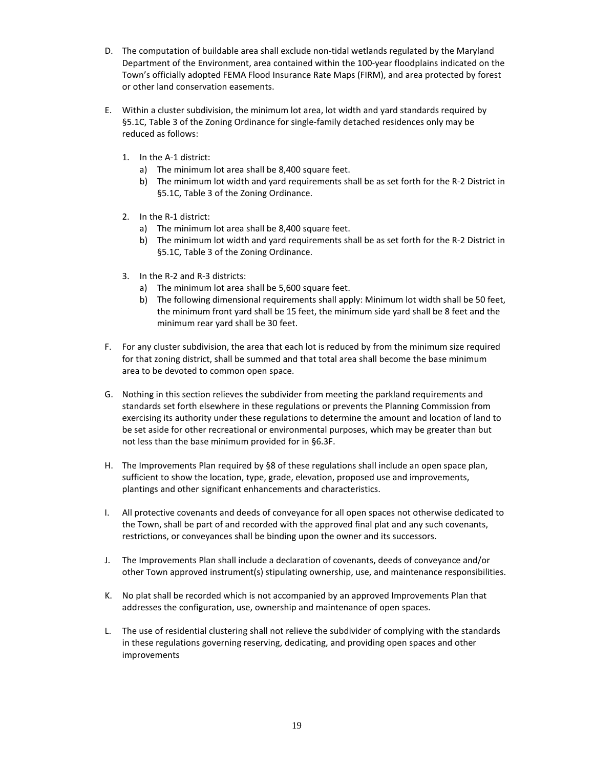- D. The computation of buildable area shall exclude non-tidal wetlands regulated by the Maryland Department of the Environment, area contained within the 100-year floodplains indicated on the Town's officially adopted FEMA Flood Insurance Rate Maps (FIRM), and area protected by forest or other land conservation easements.
- E. Within a cluster subdivision, the minimum lot area, lot width and yard standards required by §5.1C, Table 3 of the Zoning Ordinance for single-family detached residences only may be reduced as follows:
	- 1. In the A-1 district:
		- a) The minimum lot area shall be 8,400 square feet.
		- b) The minimum lot width and yard requirements shall be as set forth for the R-2 District in §5.1C, Table 3 of the Zoning Ordinance.
	- 2. In the R-1 district:
		- a) The minimum lot area shall be 8,400 square feet.
		- b) The minimum lot width and yard requirements shall be as set forth for the R-2 District in §5.1C, Table 3 of the Zoning Ordinance.
	- 3. In the R-2 and R-3 districts:
		- a) The minimum lot area shall be 5,600 square feet.
		- b) The following dimensional requirements shall apply: Minimum lot width shall be 50 feet, the minimum front yard shall be 15 feet, the minimum side yard shall be 8 feet and the minimum rear yard shall be 30 feet.
- F. For any cluster subdivision, the area that each lot is reduced by from the minimum size required for that zoning district, shall be summed and that total area shall become the base minimum area to be devoted to common open space.
- G. Nothing in this section relieves the subdivider from meeting the parkland requirements and standards set forth elsewhere in these regulations or prevents the Planning Commission from exercising its authority under these regulations to determine the amount and location of land to be set aside for other recreational or environmental purposes, which may be greater than but not less than the base minimum provided for in §6.3F.
- H. The Improvements Plan required by §8 of these regulations shall include an open space plan, sufficient to show the location, type, grade, elevation, proposed use and improvements, plantings and other significant enhancements and characteristics.
- I. All protective covenants and deeds of conveyance for all open spaces not otherwise dedicated to the Town, shall be part of and recorded with the approved final plat and any such covenants, restrictions, or conveyances shall be binding upon the owner and its successors.
- J. The Improvements Plan shall include a declaration of covenants, deeds of conveyance and/or other Town approved instrument(s) stipulating ownership, use, and maintenance responsibilities.
- K. No plat shall be recorded which is not accompanied by an approved Improvements Plan that addresses the configuration, use, ownership and maintenance of open spaces.
- L. The use of residential clustering shall not relieve the subdivider of complying with the standards in these regulations governing reserving, dedicating, and providing open spaces and other improvements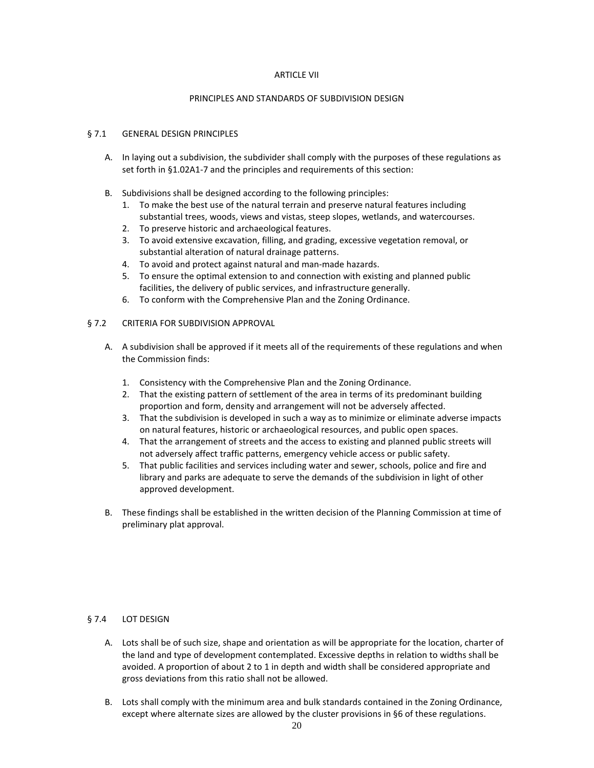#### ARTICLE VII

#### PRINCIPLES AND STANDARDS OF SUBDIVISION DESIGN

#### § 7.1 GENERAL DESIGN PRINCIPLES

- A. In laying out a subdivision, the subdivider shall comply with the purposes of these regulations as set forth in §1.02A1-7 and the principles and requirements of this section:
- B. Subdivisions shall be designed according to the following principles:
	- 1. To make the best use of the natural terrain and preserve natural features including substantial trees, woods, views and vistas, steep slopes, wetlands, and watercourses.
	- 2. To preserve historic and archaeological features.
	- 3. To avoid extensive excavation, filling, and grading, excessive vegetation removal, or substantial alteration of natural drainage patterns.
	- 4. To avoid and protect against natural and man-made hazards.
	- 5. To ensure the optimal extension to and connection with existing and planned public facilities, the delivery of public services, and infrastructure generally.
	- 6. To conform with the Comprehensive Plan and the Zoning Ordinance.

#### § 7.2 CRITERIA FOR SUBDIVISION APPROVAL

- A. A subdivision shall be approved if it meets all of the requirements of these regulations and when the Commission finds:
	- 1. Consistency with the Comprehensive Plan and the Zoning Ordinance.
	- 2. That the existing pattern of settlement of the area in terms of its predominant building proportion and form, density and arrangement will not be adversely affected.
	- 3. That the subdivision is developed in such a way as to minimize or eliminate adverse impacts on natural features, historic or archaeological resources, and public open spaces.
	- 4. That the arrangement of streets and the access to existing and planned public streets will not adversely affect traffic patterns, emergency vehicle access or public safety.
	- 5. That public facilities and services including water and sewer, schools, police and fire and library and parks are adequate to serve the demands of the subdivision in light of other approved development.
- B. These findings shall be established in the written decision of the Planning Commission at time of preliminary plat approval.

# § 7.4 LOT DESIGN

- A. Lots shall be of such size, shape and orientation as will be appropriate for the location, charter of the land and type of development contemplated. Excessive depths in relation to widths shall be avoided. A proportion of about 2 to 1 in depth and width shall be considered appropriate and gross deviations from this ratio shall not be allowed.
- B. Lots shall comply with the minimum area and bulk standards contained in the Zoning Ordinance, except where alternate sizes are allowed by the cluster provisions in §6 of these regulations.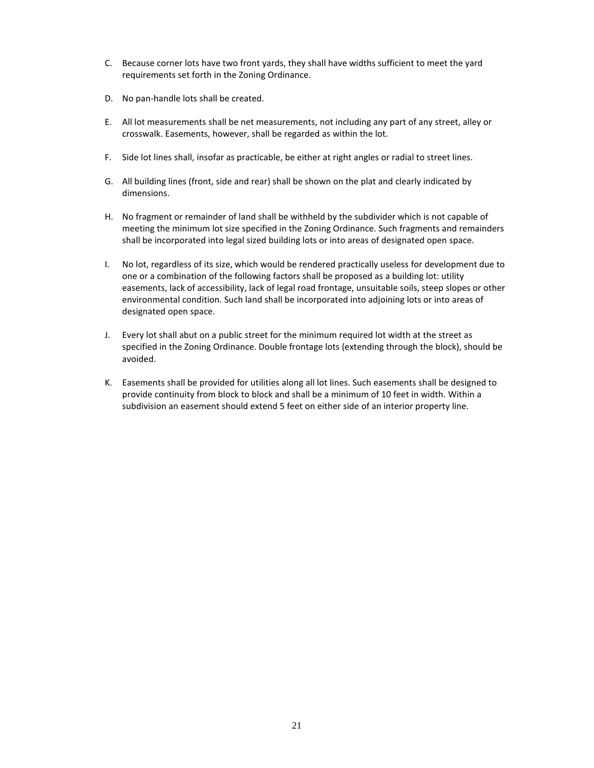- C. Because corner lots have two front yards, they shall have widths sufficient to meet the yard requirements set forth in the Zoning Ordinance.
- D. No pan-handle lots shall be created.
- E. All lot measurements shall be net measurements, not including any part of any street, alley or crosswalk. Easements, however, shall be regarded as within the lot.
- F. Side lot lines shall, insofar as practicable, be either at right angles or radial to street lines.
- G. All building lines (front, side and rear) shall be shown on the plat and clearly indicated by dimensions.
- H. No fragment or remainder of land shall be withheld by the subdivider which is not capable of meeting the minimum lot size specified in the Zoning Ordinance. Such fragments and remainders shall be incorporated into legal sized building lots or into areas of designated open space.
- I. No lot, regardless of its size, which would be rendered practically useless for development due to one or a combination of the following factors shall be proposed as a building lot: utility easements, lack of accessibility, lack of legal road frontage, unsuitable soils, steep slopes or other environmental condition. Such land shall be incorporated into adjoining lots or into areas of designated open space.
- J. Every lot shall abut on a public street for the minimum required lot width at the street as specified in the Zoning Ordinance. Double frontage lots (extending through the block), should be avoided.
- K. Easements shall be provided for utilities along all lot lines. Such easements shall be designed to provide continuity from block to block and shall be a minimum of 10 feet in width. Within a subdivision an easement should extend 5 feet on either side of an interior property line.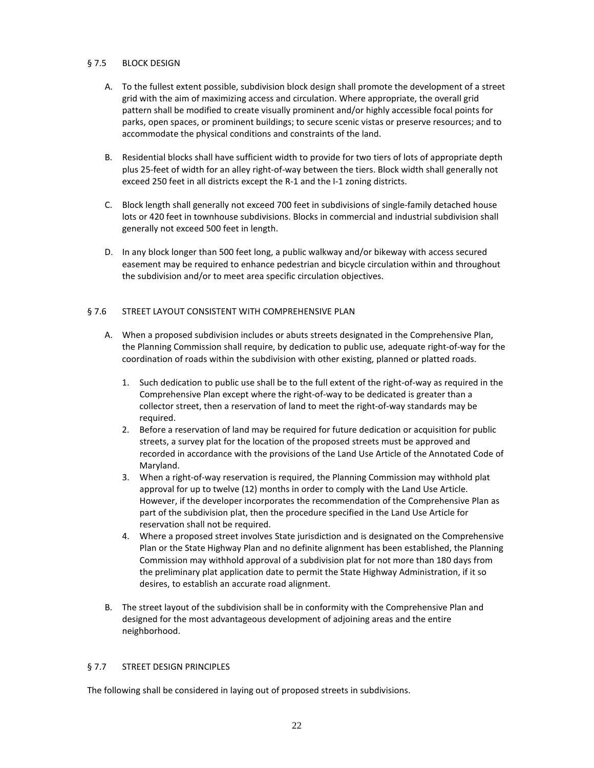# § 7.5 BLOCK DESIGN

- A. To the fullest extent possible, subdivision block design shall promote the development of a street grid with the aim of maximizing access and circulation. Where appropriate, the overall grid pattern shall be modified to create visually prominent and/or highly accessible focal points for parks, open spaces, or prominent buildings; to secure scenic vistas or preserve resources; and to accommodate the physical conditions and constraints of the land.
- B. Residential blocks shall have sufficient width to provide for two tiers of lots of appropriate depth plus 25-feet of width for an alley right-of-way between the tiers. Block width shall generally not exceed 250 feet in all districts except the R-1 and the I-1 zoning districts.
- C. Block length shall generally not exceed 700 feet in subdivisions of single-family detached house lots or 420 feet in townhouse subdivisions. Blocks in commercial and industrial subdivision shall generally not exceed 500 feet in length.
- D. In any block longer than 500 feet long, a public walkway and/or bikeway with access secured easement may be required to enhance pedestrian and bicycle circulation within and throughout the subdivision and/or to meet area specific circulation objectives.

# § 7.6 STREET LAYOUT CONSISTENT WITH COMPREHENSIVE PLAN

- A. When a proposed subdivision includes or abuts streets designated in the Comprehensive Plan, the Planning Commission shall require, by dedication to public use, adequate right-of-way for the coordination of roads within the subdivision with other existing, planned or platted roads.
	- 1. Such dedication to public use shall be to the full extent of the right-of-way as required in the Comprehensive Plan except where the right-of-way to be dedicated is greater than a collector street, then a reservation of land to meet the right-of-way standards may be required.
	- 2. Before a reservation of land may be required for future dedication or acquisition for public streets, a survey plat for the location of the proposed streets must be approved and recorded in accordance with the provisions of the Land Use Article of the Annotated Code of Maryland.
	- 3. When a right-of-way reservation is required, the Planning Commission may withhold plat approval for up to twelve (12) months in order to comply with the Land Use Article. However, if the developer incorporates the recommendation of the Comprehensive Plan as part of the subdivision plat, then the procedure specified in the Land Use Article for reservation shall not be required.
	- 4. Where a proposed street involves State jurisdiction and is designated on the Comprehensive Plan or the State Highway Plan and no definite alignment has been established, the Planning Commission may withhold approval of a subdivision plat for not more than 180 days from the preliminary plat application date to permit the State Highway Administration, if it so desires, to establish an accurate road alignment.
- B. The street layout of the subdivision shall be in conformity with the Comprehensive Plan and designed for the most advantageous development of adjoining areas and the entire neighborhood.

# § 7.7 STREET DESIGN PRINCIPLES

The following shall be considered in laying out of proposed streets in subdivisions.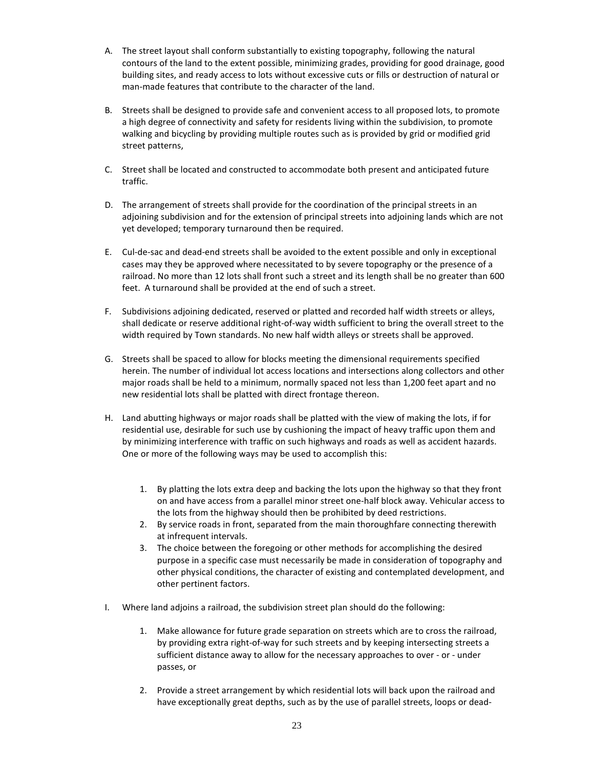- A. The street layout shall conform substantially to existing topography, following the natural contours of the land to the extent possible, minimizing grades, providing for good drainage, good building sites, and ready access to lots without excessive cuts or fills or destruction of natural or man-made features that contribute to the character of the land.
- B. Streets shall be designed to provide safe and convenient access to all proposed lots, to promote a high degree of connectivity and safety for residents living within the subdivision, to promote walking and bicycling by providing multiple routes such as is provided by grid or modified grid street patterns,
- C. Street shall be located and constructed to accommodate both present and anticipated future traffic.
- D. The arrangement of streets shall provide for the coordination of the principal streets in an adjoining subdivision and for the extension of principal streets into adjoining lands which are not yet developed; temporary turnaround then be required.
- E. Cul-de-sac and dead-end streets shall be avoided to the extent possible and only in exceptional cases may they be approved where necessitated to by severe topography or the presence of a railroad. No more than 12 lots shall front such a street and its length shall be no greater than 600 feet. A turnaround shall be provided at the end of such a street.
- F. Subdivisions adjoining dedicated, reserved or platted and recorded half width streets or alleys, shall dedicate or reserve additional right-of-way width sufficient to bring the overall street to the width required by Town standards. No new half width alleys or streets shall be approved.
- G. Streets shall be spaced to allow for blocks meeting the dimensional requirements specified herein. The number of individual lot access locations and intersections along collectors and other major roads shall be held to a minimum, normally spaced not less than 1,200 feet apart and no new residential lots shall be platted with direct frontage thereon.
- H. Land abutting highways or major roads shall be platted with the view of making the lots, if for residential use, desirable for such use by cushioning the impact of heavy traffic upon them and by minimizing interference with traffic on such highways and roads as well as accident hazards. One or more of the following ways may be used to accomplish this:
	- 1. By platting the lots extra deep and backing the lots upon the highway so that they front on and have access from a parallel minor street one-half block away. Vehicular access to the lots from the highway should then be prohibited by deed restrictions.
	- 2. By service roads in front, separated from the main thoroughfare connecting therewith at infrequent intervals.
	- 3. The choice between the foregoing or other methods for accomplishing the desired purpose in a specific case must necessarily be made in consideration of topography and other physical conditions, the character of existing and contemplated development, and other pertinent factors.
- I. Where land adjoins a railroad, the subdivision street plan should do the following:
	- 1. Make allowance for future grade separation on streets which are to cross the railroad, by providing extra right-of-way for such streets and by keeping intersecting streets a sufficient distance away to allow for the necessary approaches to over - or - under passes, or
	- 2. Provide a street arrangement by which residential lots will back upon the railroad and have exceptionally great depths, such as by the use of parallel streets, loops or dead-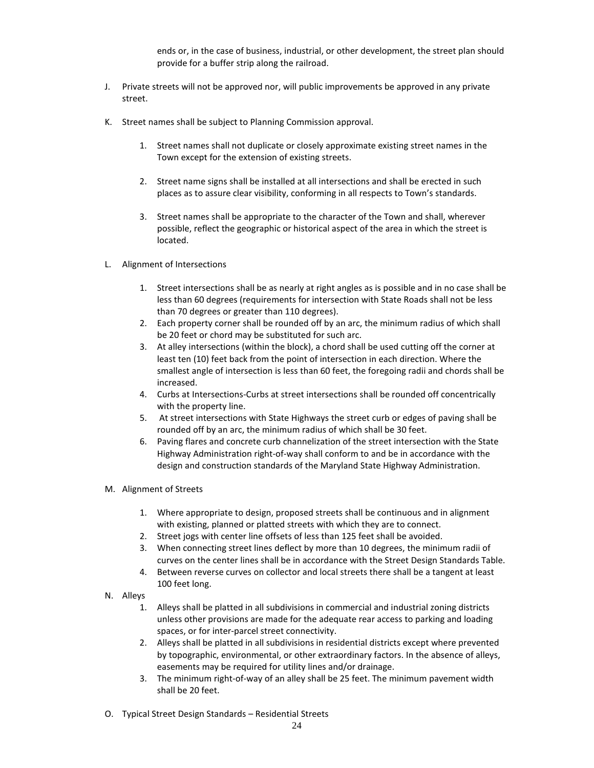ends or, in the case of business, industrial, or other development, the street plan should provide for a buffer strip along the railroad.

- J. Private streets will not be approved nor, will public improvements be approved in any private street.
- K. Street names shall be subject to Planning Commission approval.
	- 1. Street names shall not duplicate or closely approximate existing street names in the Town except for the extension of existing streets.
	- 2. Street name signs shall be installed at all intersections and shall be erected in such places as to assure clear visibility, conforming in all respects to Town's standards.
	- 3. Street names shall be appropriate to the character of the Town and shall, wherever possible, reflect the geographic or historical aspect of the area in which the street is located.
- L. Alignment of Intersections
	- 1. Street intersections shall be as nearly at right angles as is possible and in no case shall be less than 60 degrees (requirements for intersection with State Roads shall not be less than 70 degrees or greater than 110 degrees).
	- 2. Each property corner shall be rounded off by an arc, the minimum radius of which shall be 20 feet or chord may be substituted for such arc.
	- 3. At alley intersections (within the block), a chord shall be used cutting off the corner at least ten (10) feet back from the point of intersection in each direction. Where the smallest angle of intersection is less than 60 feet, the foregoing radii and chords shall be increased.
	- 4. Curbs at Intersections-Curbs at street intersections shall be rounded off concentrically with the property line.
	- 5. At street intersections with State Highways the street curb or edges of paving shall be rounded off by an arc, the minimum radius of which shall be 30 feet.
	- 6. Paving flares and concrete curb channelization of the street intersection with the State Highway Administration right-of-way shall conform to and be in accordance with the design and construction standards of the Maryland State Highway Administration.
- M. Alignment of Streets
	- 1. Where appropriate to design, proposed streets shall be continuous and in alignment with existing, planned or platted streets with which they are to connect.
	- 2. Street jogs with center line offsets of less than 125 feet shall be avoided.
	- 3. When connecting street lines deflect by more than 10 degrees, the minimum radii of curves on the center lines shall be in accordance with the Street Design Standards Table.
	- 4. Between reverse curves on collector and local streets there shall be a tangent at least 100 feet long.
- N. Alleys
	- 1. Alleys shall be platted in all subdivisions in commercial and industrial zoning districts unless other provisions are made for the adequate rear access to parking and loading spaces, or for inter-parcel street connectivity.
	- 2. Alleys shall be platted in all subdivisions in residential districts except where prevented by topographic, environmental, or other extraordinary factors. In the absence of alleys, easements may be required for utility lines and/or drainage.
	- 3. The minimum right-of-way of an alley shall be 25 feet. The minimum pavement width shall be 20 feet.
- O. Typical Street Design Standards Residential Streets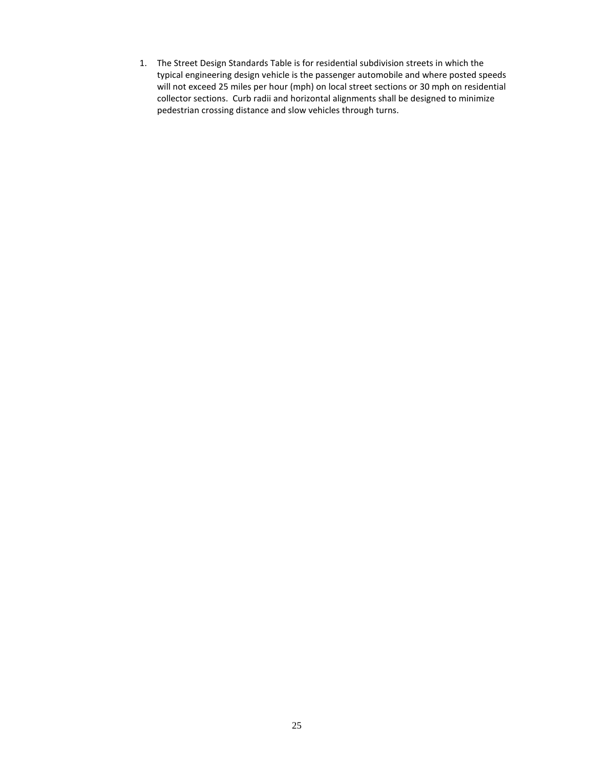1. The Street Design Standards Table is for residential subdivision streets in which the typical engineering design vehicle is the passenger automobile and where posted speeds will not exceed 25 miles per hour (mph) on local street sections or 30 mph on residential collector sections. Curb radii and horizontal alignments shall be designed to minimize pedestrian crossing distance and slow vehicles through turns.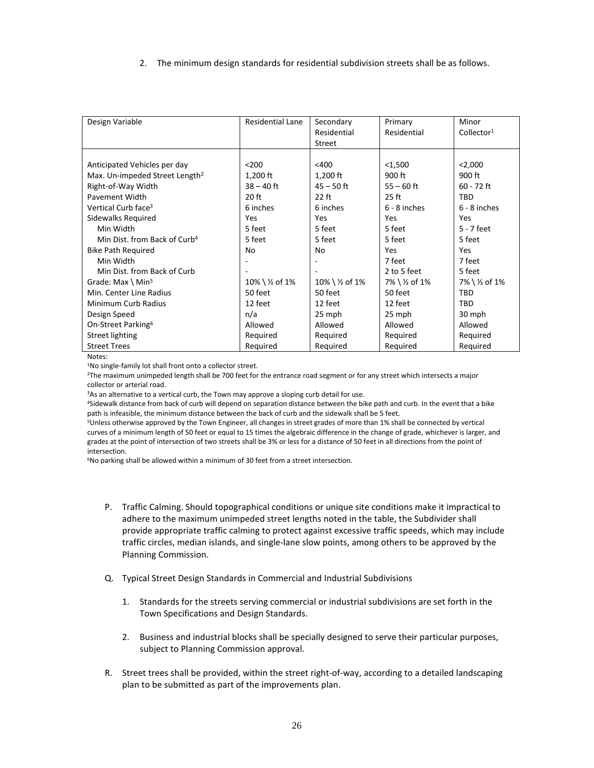2. The minimum design standards for residential subdivision streets shall be as follows.

| Design Variable                            | <b>Residential Lane</b> | Secondary     | Primary        | Minor                  |
|--------------------------------------------|-------------------------|---------------|----------------|------------------------|
|                                            |                         | Residential   | Residential    | Collector <sup>1</sup> |
|                                            |                         | Street        |                |                        |
|                                            |                         |               |                |                        |
| Anticipated Vehicles per day               | $200$                   | $<$ 400       | $1,500$        | < 2,000                |
| Max. Un-impeded Street Length <sup>2</sup> | $1,200$ ft              | 1,200 ft      | 900 ft         | 900 ft                 |
| Right-of-Way Width                         | $38 - 40$ ft            | $45 - 50$ ft  | $55 - 60$ ft   | $60 - 72$ ft           |
| <b>Pavement Width</b>                      | $20$ ft                 | $22$ ft       | $25$ ft        | <b>TRD</b>             |
| Vertical Curb face <sup>3</sup>            | 6 inches                | 6 inches      | $6 - 8$ inches | $6 - 8$ inches         |
| Sidewalks Required                         | Yes                     | Yes           | Yes            | Yes                    |
| Min Width                                  | 5 feet                  | 5 feet        | 5 feet         | 5 - 7 feet             |
| Min Dist. from Back of Curb <sup>4</sup>   | 5 feet                  | 5 feet        | 5 feet         | 5 feet                 |
| <b>Bike Path Required</b>                  | No                      | No            | Yes            | Yes                    |
| Min Width                                  |                         |               | 7 feet         | 7 feet                 |
| Min Dist. from Back of Curb                |                         |               | 2 to 5 feet    | 5 feet                 |
| Grade: Max \ Min <sup>5</sup>              | 10% \ ½ of 1%           | 10% \ ½ of 1% | 7% \ ½ of 1%   | 7% \ ½ of 1%           |
| Min. Center Line Radius                    | 50 feet                 | 50 feet       | 50 feet        | <b>TRD</b>             |
| Minimum Curb Radius                        | 12 feet                 | 12 feet       | 12 feet        | <b>TRD</b>             |
| Design Speed                               | n/a                     | 25 mph        | 25 mph         | 30 mph                 |
| On-Street Parking <sup>6</sup>             | Allowed                 | Allowed       | Allowed        | Allowed                |
| Street lighting                            | Required                | Required      | Required       | Required               |
| <b>Street Trees</b>                        | Required                | Required      | Required       | Required               |

Notes:

1No single-family lot shall front onto a collector street.

2The maximum unimpeded length shall be 700 feet for the entrance road segment or for any street which intersects a major collector or arterial road.

<sup>3</sup>As an alternative to a vertical curb, the Town may approve a sloping curb detail for use.

4Sidewalk distance from back of curb will depend on separation distance between the bike path and curb. In the event that a bike path is infeasible, the minimum distance between the back of curb and the sidewalk shall be 5 feet.

5Unless otherwise approved by the Town Engineer, all changes in street grades of more than 1% shall be connected by vertical curves of a minimum length of 50 feet or equal to 15 times the algebraic difference in the change of grade, whichever is larger, and grades at the point of intersection of two streets shall be 3% or less for a distance of 50 feet in all directions from the point of intersection.

<sup>6</sup>No parking shall be allowed within a minimum of 30 feet from a street intersection.

- P. Traffic Calming. Should topographical conditions or unique site conditions make it impractical to adhere to the maximum unimpeded street lengths noted in the table, the Subdivider shall provide appropriate traffic calming to protect against excessive traffic speeds, which may include traffic circles, median islands, and single-lane slow points, among others to be approved by the Planning Commission.
- Q. Typical Street Design Standards in Commercial and Industrial Subdivisions
	- 1. Standards for the streets serving commercial or industrial subdivisions are set forth in the Town Specifications and Design Standards.
	- 2. Business and industrial blocks shall be specially designed to serve their particular purposes, subject to Planning Commission approval.
- R. Street trees shall be provided, within the street right-of-way, according to a detailed landscaping plan to be submitted as part of the improvements plan.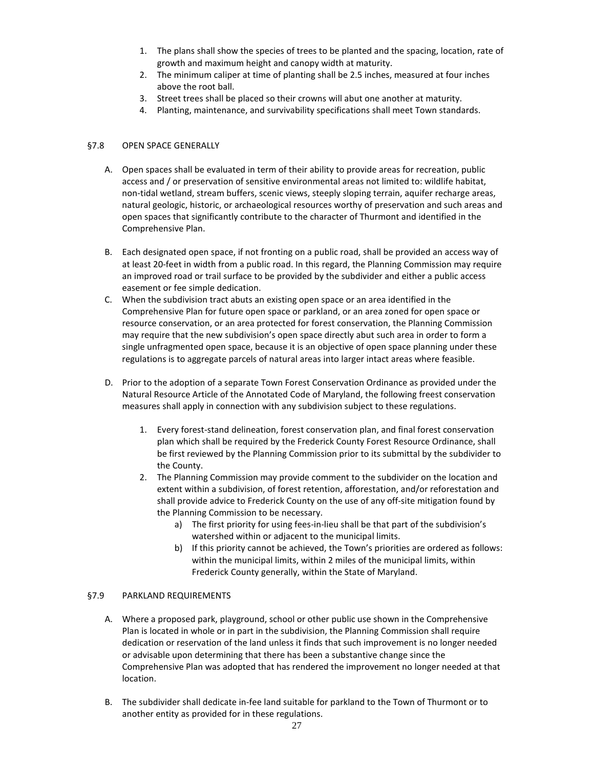- 1. The plans shall show the species of trees to be planted and the spacing, location, rate of growth and maximum height and canopy width at maturity.
- 2. The minimum caliper at time of planting shall be 2.5 inches, measured at four inches above the root ball.
- 3. Street trees shall be placed so their crowns will abut one another at maturity.
- 4. Planting, maintenance, and survivability specifications shall meet Town standards.

#### §7.8 OPEN SPACE GENERALLY

- A. Open spaces shall be evaluated in term of their ability to provide areas for recreation, public access and / or preservation of sensitive environmental areas not limited to: wildlife habitat, non-tidal wetland, stream buffers, scenic views, steeply sloping terrain, aquifer recharge areas, natural geologic, historic, or archaeological resources worthy of preservation and such areas and open spaces that significantly contribute to the character of Thurmont and identified in the Comprehensive Plan.
- B. Each designated open space, if not fronting on a public road, shall be provided an access way of at least 20-feet in width from a public road. In this regard, the Planning Commission may require an improved road or trail surface to be provided by the subdivider and either a public access easement or fee simple dedication.
- C. When the subdivision tract abuts an existing open space or an area identified in the Comprehensive Plan for future open space or parkland, or an area zoned for open space or resource conservation, or an area protected for forest conservation, the Planning Commission may require that the new subdivision's open space directly abut such area in order to form a single unfragmented open space, because it is an objective of open space planning under these regulations is to aggregate parcels of natural areas into larger intact areas where feasible.
- D. Prior to the adoption of a separate Town Forest Conservation Ordinance as provided under the Natural Resource Article of the Annotated Code of Maryland, the following freest conservation measures shall apply in connection with any subdivision subject to these regulations.
	- 1. Every forest-stand delineation, forest conservation plan, and final forest conservation plan which shall be required by the Frederick County Forest Resource Ordinance, shall be first reviewed by the Planning Commission prior to its submittal by the subdivider to the County.
	- 2. The Planning Commission may provide comment to the subdivider on the location and extent within a subdivision, of forest retention, afforestation, and/or reforestation and shall provide advice to Frederick County on the use of any off-site mitigation found by the Planning Commission to be necessary.
		- a) The first priority for using fees-in-lieu shall be that part of the subdivision's watershed within or adjacent to the municipal limits.
		- b) If this priority cannot be achieved, the Town's priorities are ordered as follows: within the municipal limits, within 2 miles of the municipal limits, within Frederick County generally, within the State of Maryland.

#### §7.9 PARKLAND REQUIREMENTS

- A. Where a proposed park, playground, school or other public use shown in the Comprehensive Plan is located in whole or in part in the subdivision, the Planning Commission shall require dedication or reservation of the land unless it finds that such improvement is no longer needed or advisable upon determining that there has been a substantive change since the Comprehensive Plan was adopted that has rendered the improvement no longer needed at that location.
- B. The subdivider shall dedicate in-fee land suitable for parkland to the Town of Thurmont or to another entity as provided for in these regulations.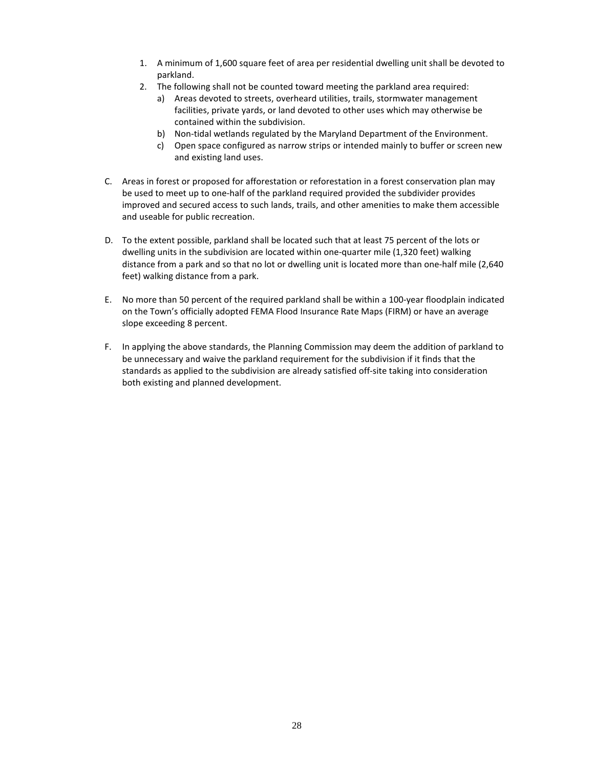- 1. A minimum of 1,600 square feet of area per residential dwelling unit shall be devoted to parkland.
- 2. The following shall not be counted toward meeting the parkland area required:
	- a) Areas devoted to streets, overheard utilities, trails, stormwater management facilities, private yards, or land devoted to other uses which may otherwise be contained within the subdivision.
	- b) Non-tidal wetlands regulated by the Maryland Department of the Environment.
	- c) Open space configured as narrow strips or intended mainly to buffer or screen new and existing land uses.
- C. Areas in forest or proposed for afforestation or reforestation in a forest conservation plan may be used to meet up to one-half of the parkland required provided the subdivider provides improved and secured access to such lands, trails, and other amenities to make them accessible and useable for public recreation.
- D. To the extent possible, parkland shall be located such that at least 75 percent of the lots or dwelling units in the subdivision are located within one-quarter mile (1,320 feet) walking distance from a park and so that no lot or dwelling unit is located more than one-half mile (2,640 feet) walking distance from a park.
- E. No more than 50 percent of the required parkland shall be within a 100-year floodplain indicated on the Town's officially adopted FEMA Flood Insurance Rate Maps (FIRM) or have an average slope exceeding 8 percent.
- F. In applying the above standards, the Planning Commission may deem the addition of parkland to be unnecessary and waive the parkland requirement for the subdivision if it finds that the standards as applied to the subdivision are already satisfied off-site taking into consideration both existing and planned development.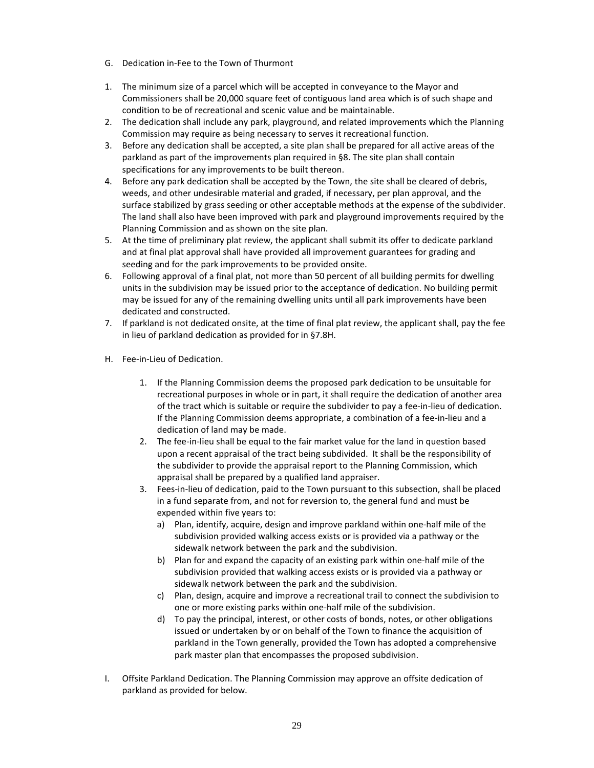- G. Dedication in-Fee to the Town of Thurmont
- 1. The minimum size of a parcel which will be accepted in conveyance to the Mayor and Commissioners shall be 20,000 square feet of contiguous land area which is of such shape and condition to be of recreational and scenic value and be maintainable.
- 2. The dedication shall include any park, playground, and related improvements which the Planning Commission may require as being necessary to serves it recreational function.
- 3. Before any dedication shall be accepted, a site plan shall be prepared for all active areas of the parkland as part of the improvements plan required in §8. The site plan shall contain specifications for any improvements to be built thereon.
- 4. Before any park dedication shall be accepted by the Town, the site shall be cleared of debris, weeds, and other undesirable material and graded, if necessary, per plan approval, and the surface stabilized by grass seeding or other acceptable methods at the expense of the subdivider. The land shall also have been improved with park and playground improvements required by the Planning Commission and as shown on the site plan.
- 5. At the time of preliminary plat review, the applicant shall submit its offer to dedicate parkland and at final plat approval shall have provided all improvement guarantees for grading and seeding and for the park improvements to be provided onsite.
- 6. Following approval of a final plat, not more than 50 percent of all building permits for dwelling units in the subdivision may be issued prior to the acceptance of dedication. No building permit may be issued for any of the remaining dwelling units until all park improvements have been dedicated and constructed.
- 7. If parkland is not dedicated onsite, at the time of final plat review, the applicant shall, pay the fee in lieu of parkland dedication as provided for in §7.8H.
- H. Fee-in-Lieu of Dedication.
	- 1. If the Planning Commission deems the proposed park dedication to be unsuitable for recreational purposes in whole or in part, it shall require the dedication of another area of the tract which is suitable or require the subdivider to pay a fee-in-lieu of dedication. If the Planning Commission deems appropriate, a combination of a fee-in-lieu and a dedication of land may be made.
	- 2. The fee-in-lieu shall be equal to the fair market value for the land in question based upon a recent appraisal of the tract being subdivided. It shall be the responsibility of the subdivider to provide the appraisal report to the Planning Commission, which appraisal shall be prepared by a qualified land appraiser.
	- 3. Fees-in-lieu of dedication, paid to the Town pursuant to this subsection, shall be placed in a fund separate from, and not for reversion to, the general fund and must be expended within five years to:
		- a) Plan, identify, acquire, design and improve parkland within one-half mile of the subdivision provided walking access exists or is provided via a pathway or the sidewalk network between the park and the subdivision.
		- b) Plan for and expand the capacity of an existing park within one-half mile of the subdivision provided that walking access exists or is provided via a pathway or sidewalk network between the park and the subdivision.
		- c) Plan, design, acquire and improve a recreational trail to connect the subdivision to one or more existing parks within one-half mile of the subdivision.
		- d) To pay the principal, interest, or other costs of bonds, notes, or other obligations issued or undertaken by or on behalf of the Town to finance the acquisition of parkland in the Town generally, provided the Town has adopted a comprehensive park master plan that encompasses the proposed subdivision.
- I. Offsite Parkland Dedication. The Planning Commission may approve an offsite dedication of parkland as provided for below.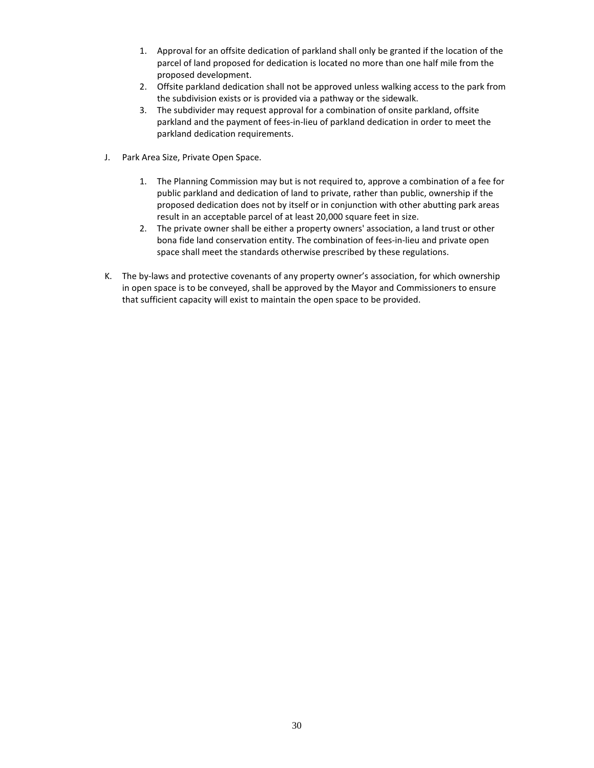- 1. Approval for an offsite dedication of parkland shall only be granted if the location of the parcel of land proposed for dedication is located no more than one half mile from the proposed development.
- 2. Offsite parkland dedication shall not be approved unless walking access to the park from the subdivision exists or is provided via a pathway or the sidewalk.
- 3. The subdivider may request approval for a combination of onsite parkland, offsite parkland and the payment of fees-in-lieu of parkland dedication in order to meet the parkland dedication requirements.
- J. Park Area Size, Private Open Space.
	- 1. The Planning Commission may but is not required to, approve a combination of a fee for public parkland and dedication of land to private, rather than public, ownership if the proposed dedication does not by itself or in conjunction with other abutting park areas result in an acceptable parcel of at least 20,000 square feet in size.
	- 2. The private owner shall be either a property owners' association, a land trust or other bona fide land conservation entity. The combination of fees-in-lieu and private open space shall meet the standards otherwise prescribed by these regulations.
- K. The by-laws and protective covenants of any property owner's association, for which ownership in open space is to be conveyed, shall be approved by the Mayor and Commissioners to ensure that sufficient capacity will exist to maintain the open space to be provided.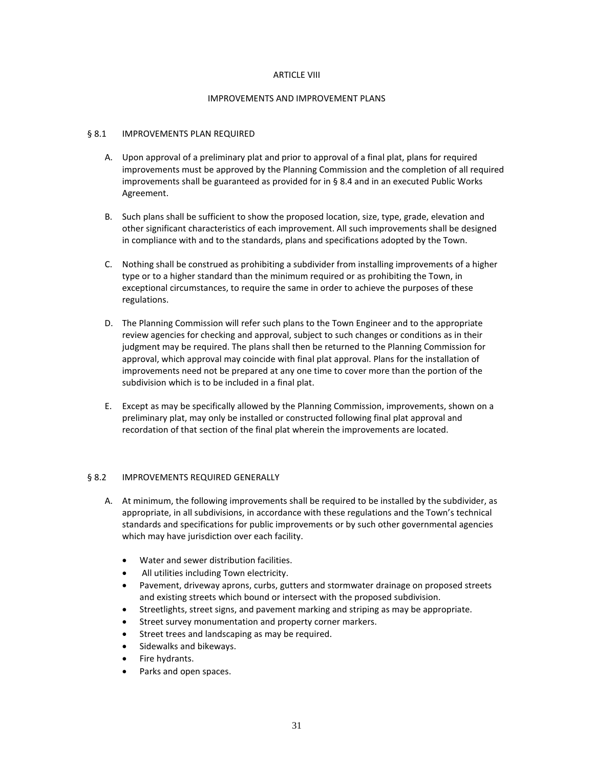#### ARTICLE VIII

#### IMPROVEMENTS AND IMPROVEMENT PLANS

#### § 8.1 IMPROVEMENTS PLAN REQUIRED

- A. Upon approval of a preliminary plat and prior to approval of a final plat, plans for required improvements must be approved by the Planning Commission and the completion of all required improvements shall be guaranteed as provided for in § 8.4 and in an executed Public Works Agreement.
- B. Such plans shall be sufficient to show the proposed location, size, type, grade, elevation and other significant characteristics of each improvement. All such improvements shall be designed in compliance with and to the standards, plans and specifications adopted by the Town.
- C. Nothing shall be construed as prohibiting a subdivider from installing improvements of a higher type or to a higher standard than the minimum required or as prohibiting the Town, in exceptional circumstances, to require the same in order to achieve the purposes of these regulations.
- D. The Planning Commission will refer such plans to the Town Engineer and to the appropriate review agencies for checking and approval, subject to such changes or conditions as in their judgment may be required. The plans shall then be returned to the Planning Commission for approval, which approval may coincide with final plat approval. Plans for the installation of improvements need not be prepared at any one time to cover more than the portion of the subdivision which is to be included in a final plat.
- E. Except as may be specifically allowed by the Planning Commission, improvements, shown on a preliminary plat, may only be installed or constructed following final plat approval and recordation of that section of the final plat wherein the improvements are located.

# § 8.2 IMPROVEMENTS REQUIRED GENERALLY

- A. At minimum, the following improvements shall be required to be installed by the subdivider, as appropriate, in all subdivisions, in accordance with these regulations and the Town's technical standards and specifications for public improvements or by such other governmental agencies which may have jurisdiction over each facility.
	- Water and sewer distribution facilities.
	- All utilities including Town electricity.
	- Pavement, driveway aprons, curbs, gutters and stormwater drainage on proposed streets and existing streets which bound or intersect with the proposed subdivision.
	- Streetlights, street signs, and pavement marking and striping as may be appropriate.
	- Street survey monumentation and property corner markers.
	- Street trees and landscaping as may be required.
	- Sidewalks and bikeways.
	- Fire hydrants.
	- Parks and open spaces.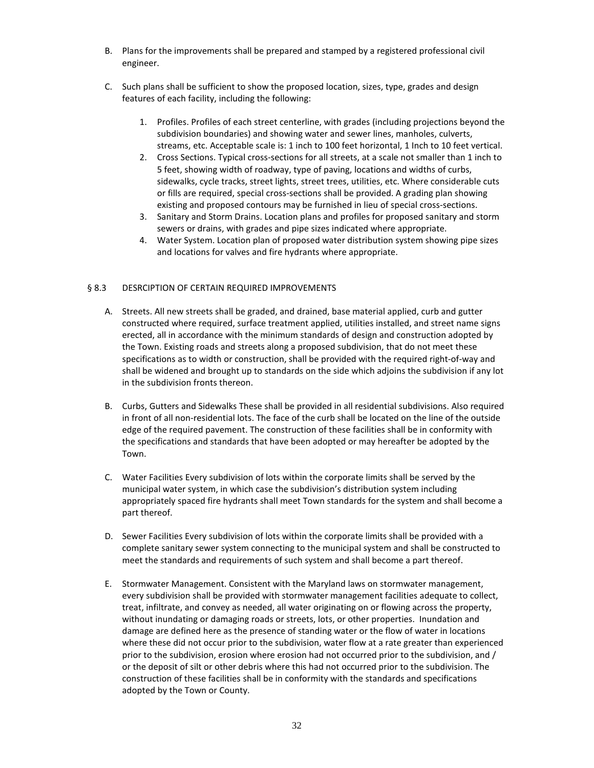- B. Plans for the improvements shall be prepared and stamped by a registered professional civil engineer.
- C. Such plans shall be sufficient to show the proposed location, sizes, type, grades and design features of each facility, including the following:
	- 1. Profiles. Profiles of each street centerline, with grades (including projections beyond the subdivision boundaries) and showing water and sewer lines, manholes, culverts, streams, etc. Acceptable scale is: 1 inch to 100 feet horizontal, 1 Inch to 10 feet vertical.
	- 2. Cross Sections. Typical cross-sections for all streets, at a scale not smaller than 1 inch to 5 feet, showing width of roadway, type of paving, locations and widths of curbs, sidewalks, cycle tracks, street lights, street trees, utilities, etc. Where considerable cuts or fills are required, special cross-sections shall be provided. A grading plan showing existing and proposed contours may be furnished in lieu of special cross-sections.
	- 3. Sanitary and Storm Drains. Location plans and profiles for proposed sanitary and storm sewers or drains, with grades and pipe sizes indicated where appropriate.
	- 4. Water System. Location plan of proposed water distribution system showing pipe sizes and locations for valves and fire hydrants where appropriate.

# § 8.3 DESRCIPTION OF CERTAIN REQUIRED IMPROVEMENTS

- A. Streets. All new streets shall be graded, and drained, base material applied, curb and gutter constructed where required, surface treatment applied, utilities installed, and street name signs erected, all in accordance with the minimum standards of design and construction adopted by the Town. Existing roads and streets along a proposed subdivision, that do not meet these specifications as to width or construction, shall be provided with the required right-of-way and shall be widened and brought up to standards on the side which adjoins the subdivision if any lot in the subdivision fronts thereon.
- B. Curbs, Gutters and Sidewalks These shall be provided in all residential subdivisions. Also required in front of all non-residential lots. The face of the curb shall be located on the line of the outside edge of the required pavement. The construction of these facilities shall be in conformity with the specifications and standards that have been adopted or may hereafter be adopted by the Town.
- C. Water Facilities Every subdivision of lots within the corporate limits shall be served by the municipal water system, in which case the subdivision's distribution system including appropriately spaced fire hydrants shall meet Town standards for the system and shall become a part thereof.
- D. Sewer Facilities Every subdivision of lots within the corporate limits shall be provided with a complete sanitary sewer system connecting to the municipal system and shall be constructed to meet the standards and requirements of such system and shall become a part thereof.
- E. Stormwater Management. Consistent with the Maryland laws on stormwater management, every subdivision shall be provided with stormwater management facilities adequate to collect, treat, infiltrate, and convey as needed, all water originating on or flowing across the property, without inundating or damaging roads or streets, lots, or other properties. Inundation and damage are defined here as the presence of standing water or the flow of water in locations where these did not occur prior to the subdivision, water flow at a rate greater than experienced prior to the subdivision, erosion where erosion had not occurred prior to the subdivision, and / or the deposit of silt or other debris where this had not occurred prior to the subdivision. The construction of these facilities shall be in conformity with the standards and specifications adopted by the Town or County.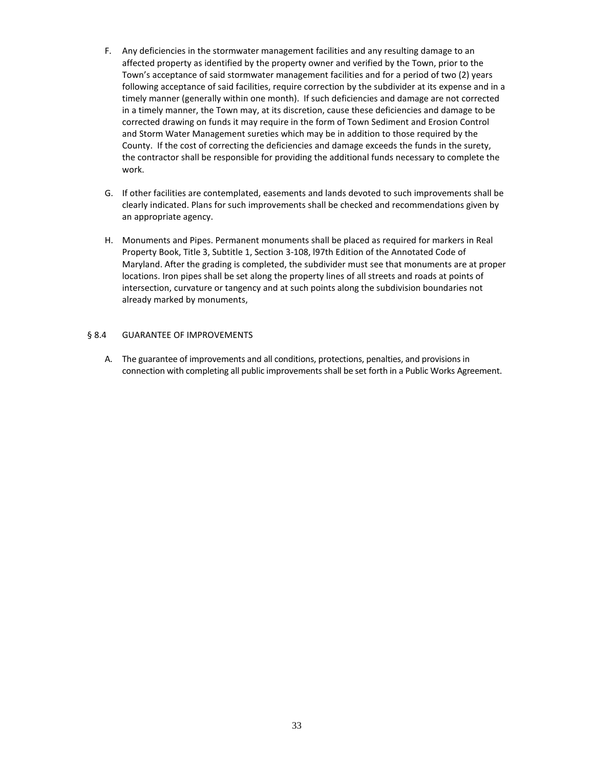- F. Any deficiencies in the stormwater management facilities and any resulting damage to an affected property as identified by the property owner and verified by the Town, prior to the Town's acceptance of said stormwater management facilities and for a period of two (2) years following acceptance of said facilities, require correction by the subdivider at its expense and in a timely manner (generally within one month). If such deficiencies and damage are not corrected in a timely manner, the Town may, at its discretion, cause these deficiencies and damage to be corrected drawing on funds it may require in the form of Town Sediment and Erosion Control and Storm Water Management sureties which may be in addition to those required by the County. If the cost of correcting the deficiencies and damage exceeds the funds in the surety, the contractor shall be responsible for providing the additional funds necessary to complete the work.
- G. If other facilities are contemplated, easements and lands devoted to such improvements shall be clearly indicated. Plans for such improvements shall be checked and recommendations given by an appropriate agency.
- H. Monuments and Pipes. Permanent monuments shall be placed as required for markers in Real Property Book, Title 3, Subtitle 1, Section 3-108, l97th Edition of the Annotated Code of Maryland. After the grading is completed, the subdivider must see that monuments are at proper locations. Iron pipes shall be set along the property lines of all streets and roads at points of intersection, curvature or tangency and at such points along the subdivision boundaries not already marked by monuments,

# § 8.4 GUARANTEE OF IMPROVEMENTS

A. The guarantee of improvements and all conditions, protections, penalties, and provisions in connection with completing all public improvements shall be set forth in a Public Works Agreement.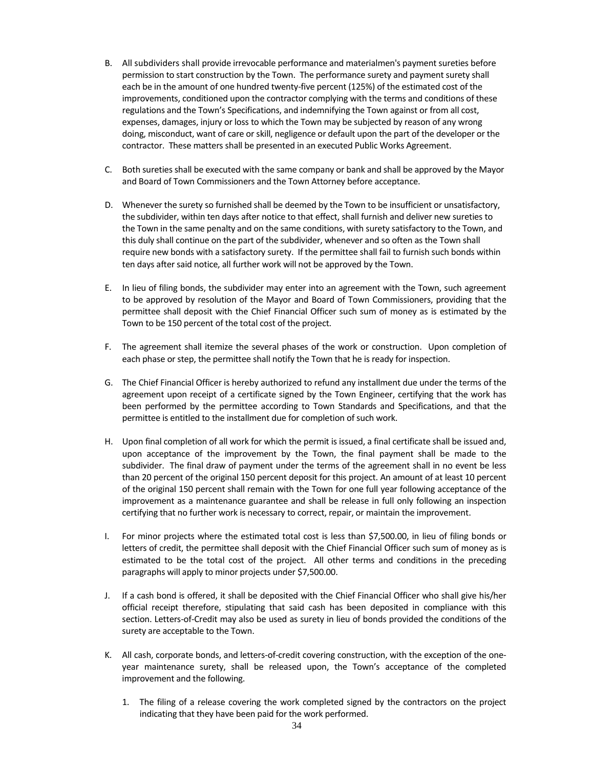- B. All subdividers shall provide irrevocable performance and materialmen's payment sureties before permission to start construction by the Town. The performance surety and payment surety shall each be in the amount of one hundred twenty-five percent (125%) of the estimated cost of the improvements, conditioned upon the contractor complying with the terms and conditions of these regulations and the Town's Specifications, and indemnifying the Town against or from all cost, expenses, damages, injury or loss to which the Town may be subjected by reason of any wrong doing, misconduct, want of care or skill, negligence or default upon the part of the developer or the contractor. These matters shall be presented in an executed Public Works Agreement.
- C. Both sureties shall be executed with the same company or bank and shall be approved by the Mayor and Board of Town Commissioners and the Town Attorney before acceptance.
- D. Whenever the surety so furnished shall be deemed by the Town to be insufficient or unsatisfactory, the subdivider, within ten days after notice to that effect, shall furnish and deliver new sureties to the Town in the same penalty and on the same conditions, with surety satisfactory to the Town, and this duly shall continue on the part of the subdivider, whenever and so often as the Town shall require new bonds with a satisfactory surety. If the permittee shall fail to furnish such bonds within ten days after said notice, all further work will not be approved by the Town.
- E. In lieu of filing bonds, the subdivider may enter into an agreement with the Town, such agreement to be approved by resolution of the Mayor and Board of Town Commissioners, providing that the permittee shall deposit with the Chief Financial Officer such sum of money as is estimated by the Town to be 150 percent of the total cost of the project.
- F. The agreement shall itemize the several phases of the work or construction. Upon completion of each phase or step, the permittee shall notify the Town that he is ready for inspection.
- G. The Chief Financial Officer is hereby authorized to refund any installment due under the terms of the agreement upon receipt of a certificate signed by the Town Engineer, certifying that the work has been performed by the permittee according to Town Standards and Specifications, and that the permittee is entitled to the installment due for completion of such work.
- H. Upon final completion of all work for which the permit is issued, a final certificate shall be issued and, upon acceptance of the improvement by the Town, the final payment shall be made to the subdivider. The final draw of payment under the terms of the agreement shall in no event be less than 20 percent of the original 150 percent deposit for this project. An amount of at least 10 percent of the original 150 percent shall remain with the Town for one full year following acceptance of the improvement as a maintenance guarantee and shall be release in full only following an inspection certifying that no further work is necessary to correct, repair, or maintain the improvement.
- I. For minor projects where the estimated total cost is less than \$7,500.00, in lieu of filing bonds or letters of credit, the permittee shall deposit with the Chief Financial Officer such sum of money as is estimated to be the total cost of the project. All other terms and conditions in the preceding paragraphs will apply to minor projects under \$7,500.00.
- J. If a cash bond is offered, it shall be deposited with the Chief Financial Officer who shall give his/her official receipt therefore, stipulating that said cash has been deposited in compliance with this section. Letters-of-Credit may also be used as surety in lieu of bonds provided the conditions of the surety are acceptable to the Town.
- K. All cash, corporate bonds, and letters-of-credit covering construction, with the exception of the oneyear maintenance surety, shall be released upon, the Town's acceptance of the completed improvement and the following.
	- 1. The filing of a release covering the work completed signed by the contractors on the project indicating that they have been paid for the work performed.